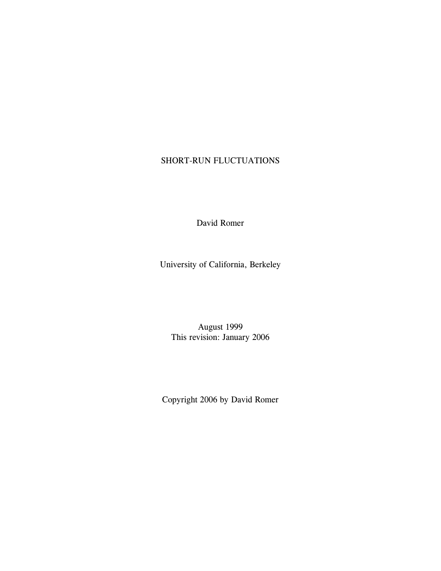# SHORT-RUN FLUCTUATIONS

David Romer

University of California, Berkeley

August 1999 This revision: January 2006

Copyright 2006 by David Romer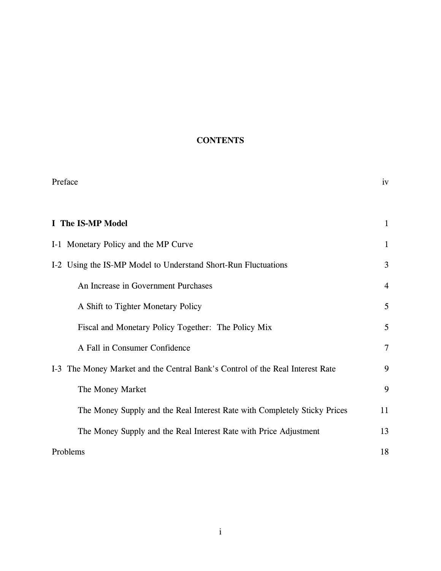# **CONTENTS**

| Preface                                                                       | iv             |
|-------------------------------------------------------------------------------|----------------|
| I The IS-MP Model                                                             | $\mathbf{1}$   |
| I-1 Monetary Policy and the MP Curve                                          | $\mathbf{1}$   |
| I-2 Using the IS-MP Model to Understand Short-Run Fluctuations                | 3              |
| An Increase in Government Purchases                                           | $\overline{4}$ |
| A Shift to Tighter Monetary Policy                                            | 5              |
| Fiscal and Monetary Policy Together: The Policy Mix                           | 5              |
| A Fall in Consumer Confidence                                                 | $\tau$         |
| I-3 The Money Market and the Central Bank's Control of the Real Interest Rate | 9              |
| The Money Market                                                              | 9              |
| The Money Supply and the Real Interest Rate with Completely Sticky Prices     | 11             |
| The Money Supply and the Real Interest Rate with Price Adjustment             | 13             |
| Problems                                                                      | 18             |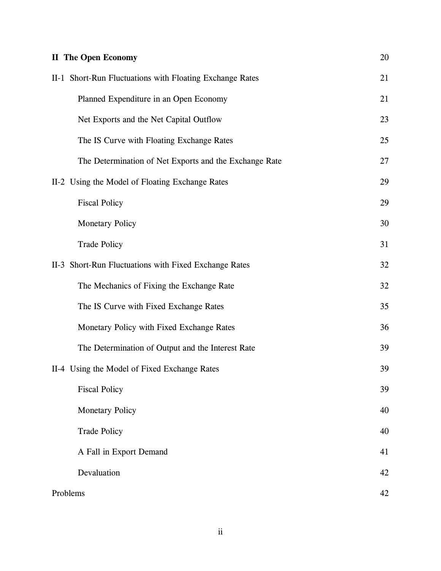| <b>II</b> The Open Economy                               | 20 |
|----------------------------------------------------------|----|
| II-1 Short-Run Fluctuations with Floating Exchange Rates | 21 |
| Planned Expenditure in an Open Economy                   | 21 |
| Net Exports and the Net Capital Outflow                  | 23 |
| The IS Curve with Floating Exchange Rates                | 25 |
| The Determination of Net Exports and the Exchange Rate   | 27 |
| II-2 Using the Model of Floating Exchange Rates          | 29 |
| <b>Fiscal Policy</b>                                     | 29 |
| <b>Monetary Policy</b>                                   | 30 |
| <b>Trade Policy</b>                                      | 31 |
| II-3 Short-Run Fluctuations with Fixed Exchange Rates    | 32 |
| The Mechanics of Fixing the Exchange Rate                | 32 |
| The IS Curve with Fixed Exchange Rates                   | 35 |
| Monetary Policy with Fixed Exchange Rates                | 36 |
| The Determination of Output and the Interest Rate        | 39 |
| II-4 Using the Model of Fixed Exchange Rates             | 39 |
| <b>Fiscal Policy</b>                                     | 39 |
| <b>Monetary Policy</b>                                   | 40 |
| <b>Trade Policy</b>                                      | 40 |
| A Fall in Export Demand                                  | 41 |
| Devaluation                                              | 42 |
| Problems                                                 | 42 |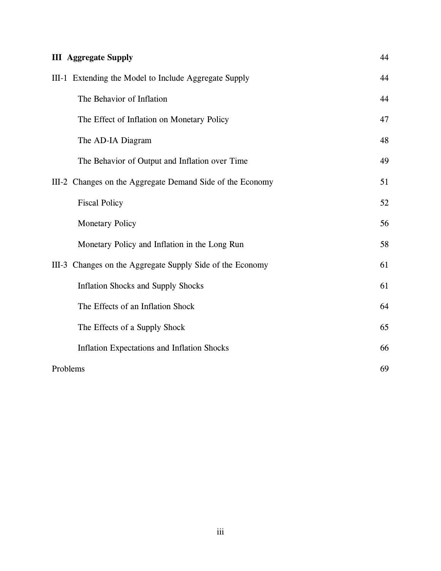| <b>III</b> Aggregate Supply                               | 44 |
|-----------------------------------------------------------|----|
| III-1 Extending the Model to Include Aggregate Supply     | 44 |
| The Behavior of Inflation                                 | 44 |
| The Effect of Inflation on Monetary Policy                | 47 |
| The AD-IA Diagram                                         | 48 |
| The Behavior of Output and Inflation over Time            | 49 |
| III-2 Changes on the Aggregate Demand Side of the Economy | 51 |
| <b>Fiscal Policy</b>                                      | 52 |
| <b>Monetary Policy</b>                                    | 56 |
| Monetary Policy and Inflation in the Long Run             | 58 |
| III-3 Changes on the Aggregate Supply Side of the Economy | 61 |
| <b>Inflation Shocks and Supply Shocks</b>                 | 61 |
| The Effects of an Inflation Shock                         | 64 |
| The Effects of a Supply Shock                             | 65 |
| <b>Inflation Expectations and Inflation Shocks</b>        | 66 |
| Problems                                                  | 69 |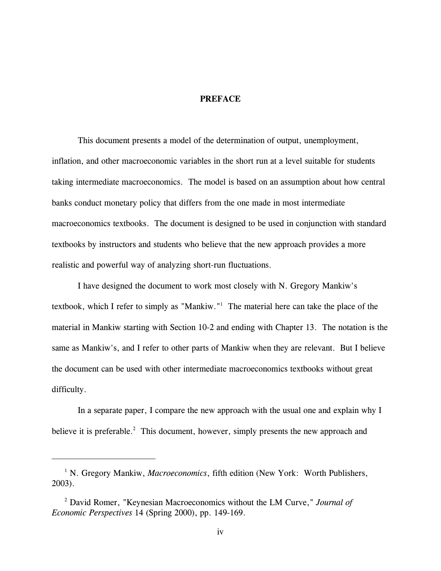### **PREFACE**

This document presents a model of the determination of output, unemployment, inflation, and other macroeconomic variables in the short run at a level suitable for students taking intermediate macroeconomics. The model is based on an assumption about how central banks conduct monetary policy that differs from the one made in most intermediate macroeconomics textbooks. The document is designed to be used in conjunction with standard textbooks by instructors and students who believe that the new approach provides a more realistic and powerful way of analyzing short-run fluctuations.

I have designed the document to work most closely with N. Gregory Mankiw's textbook, which I refer to simply as "Mankiw."<sup>1</sup> The material here can take the place of the material in Mankiw starting with Section 10-2 and ending with Chapter 13. The notation is the same as Mankiw's, and I refer to other parts of Mankiw when they are relevant. But I believe the document can be used with other intermediate macroeconomics textbooks without great difficulty.

In a separate paper, I compare the new approach with the usual one and explain why I believe it is preferable. $2$  This document, however, simply presents the new approach and

<sup>&</sup>lt;sup>1</sup> N. Gregory Mankiw, *Macroeconomics*, fifth edition (New York: Worth Publishers, 2003).

David Romer, "Keynesian Macroeconomics without the LM Curve," *Journal of* <sup>2</sup> *Economic Perspectives* 14 (Spring 2000), pp. 149-169.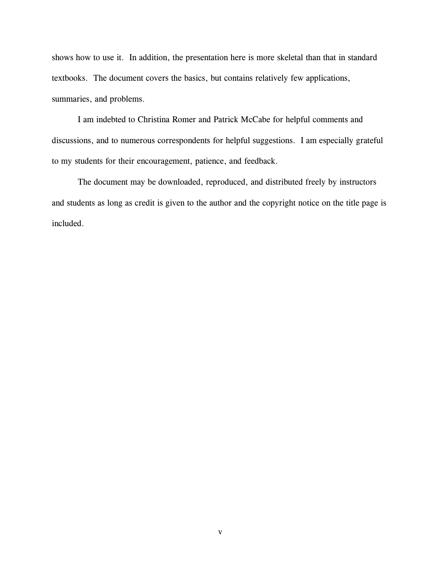shows how to use it. In addition, the presentation here is more skeletal than that in standard textbooks. The document covers the basics, but contains relatively few applications, summaries, and problems.

I am indebted to Christina Romer and Patrick McCabe for helpful comments and discussions, and to numerous correspondents for helpful suggestions. I am especially grateful to my students for their encouragement, patience, and feedback.

The document may be downloaded, reproduced, and distributed freely by instructors and students as long as credit is given to the author and the copyright notice on the title page is included.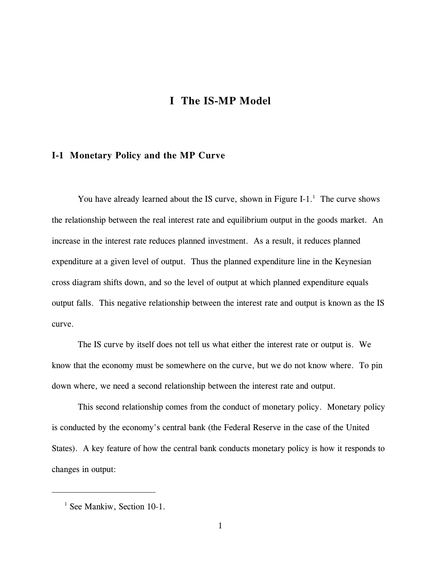# **I The IS-MP Model**

# **I-1 Monetary Policy and the MP Curve**

You have already learned about the IS curve, shown in Figure I-1. $<sup>1</sup>$  The curve shows</sup> the relationship between the real interest rate and equilibrium output in the goods market. An increase in the interest rate reduces planned investment. As a result, it reduces planned expenditure at a given level of output. Thus the planned expenditure line in the Keynesian cross diagram shifts down, and so the level of output at which planned expenditure equals output falls. This negative relationship between the interest rate and output is known as the IS curve.

The IS curve by itself does not tell us what either the interest rate or output is. We know that the economy must be somewhere on the curve, but we do not know where. To pin down where, we need a second relationship between the interest rate and output.

This second relationship comes from the conduct of monetary policy. Monetary policy is conducted by the economy's central bank (the Federal Reserve in the case of the United States). A key feature of how the central bank conducts monetary policy is how it responds to changes in output:

<sup>&</sup>lt;sup>1</sup> See Mankiw, Section 10-1.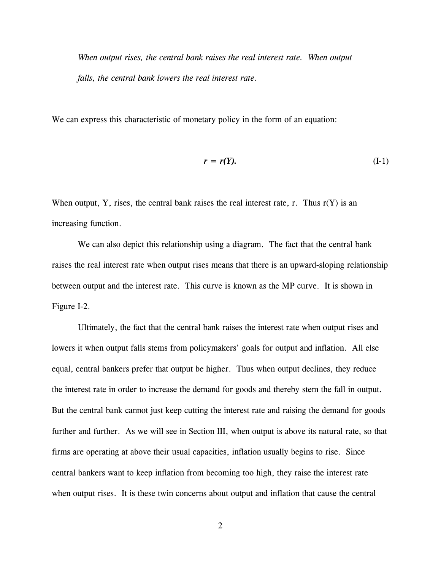*When output rises, the central bank raises the real interest rate. When output falls, the central bank lowers the real interest rate.*

We can express this characteristic of monetary policy in the form of an equation:

$$
r = r(Y). \tag{I-1}
$$

When output, Y, rises, the central bank raises the real interest rate, r. Thus  $r(Y)$  is an increasing function.

We can also depict this relationship using a diagram. The fact that the central bank raises the real interest rate when output rises means that there is an upward-sloping relationship between output and the interest rate. This curve is known as the MP curve. It is shown in Figure I-2.

Ultimately, the fact that the central bank raises the interest rate when output rises and lowers it when output falls stems from policymakers' goals for output and inflation. All else equal, central bankers prefer that output be higher. Thus when output declines, they reduce the interest rate in order to increase the demand for goods and thereby stem the fall in output. But the central bank cannot just keep cutting the interest rate and raising the demand for goods further and further. As we will see in Section III, when output is above its natural rate, so that firms are operating at above their usual capacities, inflation usually begins to rise. Since central bankers want to keep inflation from becoming too high, they raise the interest rate when output rises. It is these twin concerns about output and inflation that cause the central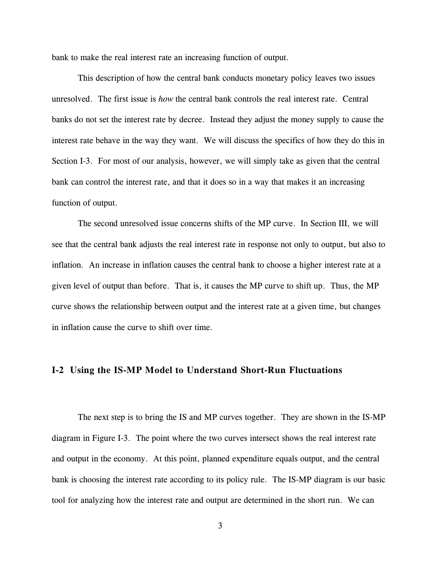bank to make the real interest rate an increasing function of output.

This description of how the central bank conducts monetary policy leaves two issues unresolved. The first issue is *how* the central bank controls the real interest rate. Central banks do not set the interest rate by decree. Instead they adjust the money supply to cause the interest rate behave in the way they want. We will discuss the specifics of how they do this in Section I-3. For most of our analysis, however, we will simply take as given that the central bank can control the interest rate, and that it does so in a way that makes it an increasing function of output.

The second unresolved issue concerns shifts of the MP curve. In Section III, we will see that the central bank adjusts the real interest rate in response not only to output, but also to inflation. An increase in inflation causes the central bank to choose a higher interest rate at a given level of output than before. That is, it causes the MP curve to shift up. Thus, the MP curve shows the relationship between output and the interest rate at a given time, but changes in inflation cause the curve to shift over time.

# **I-2 Using the IS-MP Model to Understand Short-Run Fluctuations**

The next step is to bring the IS and MP curves together. They are shown in the IS-MP diagram in Figure I-3. The point where the two curves intersect shows the real interest rate and output in the economy. At this point, planned expenditure equals output, and the central bank is choosing the interest rate according to its policy rule. The IS-MP diagram is our basic tool for analyzing how the interest rate and output are determined in the short run. We can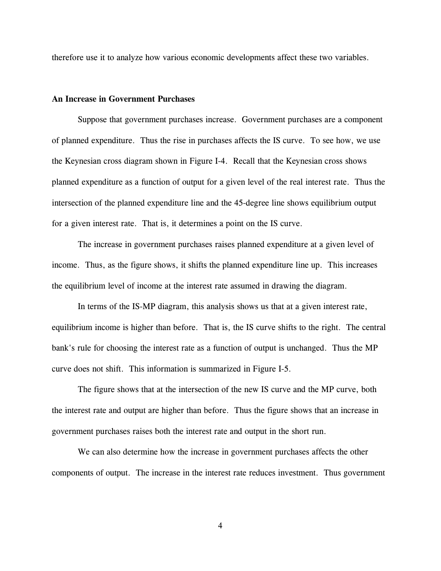therefore use it to analyze how various economic developments affect these two variables.

### **An Increase in Government Purchases**

Suppose that government purchases increase. Government purchases are a component of planned expenditure. Thus the rise in purchases affects the IS curve. To see how, we use the Keynesian cross diagram shown in Figure I-4. Recall that the Keynesian cross shows planned expenditure as a function of output for a given level of the real interest rate. Thus the intersection of the planned expenditure line and the 45-degree line shows equilibrium output for a given interest rate. That is, it determines a point on the IS curve.

The increase in government purchases raises planned expenditure at a given level of income. Thus, as the figure shows, it shifts the planned expenditure line up. This increases the equilibrium level of income at the interest rate assumed in drawing the diagram.

In terms of the IS-MP diagram, this analysis shows us that at a given interest rate, equilibrium income is higher than before. That is, the IS curve shifts to the right. The central bank's rule for choosing the interest rate as a function of output is unchanged. Thus the MP curve does not shift. This information is summarized in Figure I-5.

The figure shows that at the intersection of the new IS curve and the MP curve, both the interest rate and output are higher than before. Thus the figure shows that an increase in government purchases raises both the interest rate and output in the short run.

We can also determine how the increase in government purchases affects the other components of output. The increase in the interest rate reduces investment. Thus government

4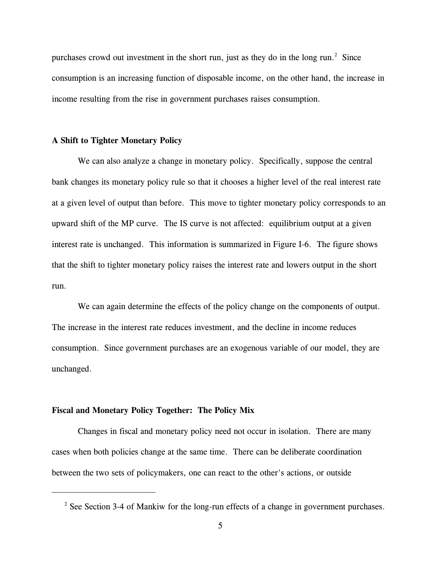purchases crowd out investment in the short run, just as they do in the long run.<sup>2</sup> Since consumption is an increasing function of disposable income, on the other hand, the increase in income resulting from the rise in government purchases raises consumption.

#### **A Shift to Tighter Monetary Policy**

We can also analyze a change in monetary policy. Specifically, suppose the central bank changes its monetary policy rule so that it chooses a higher level of the real interest rate at a given level of output than before. This move to tighter monetary policy corresponds to an upward shift of the MP curve. The IS curve is not affected: equilibrium output at a given interest rate is unchanged. This information is summarized in Figure I-6. The figure shows that the shift to tighter monetary policy raises the interest rate and lowers output in the short run.

We can again determine the effects of the policy change on the components of output. The increase in the interest rate reduces investment, and the decline in income reduces consumption. Since government purchases are an exogenous variable of our model, they are unchanged.

### **Fiscal and Monetary Policy Together: The Policy Mix**

Changes in fiscal and monetary policy need not occur in isolation. There are many cases when both policies change at the same time. There can be deliberate coordination between the two sets of policymakers, one can react to the other's actions, or outside

 $2$  See Section 3-4 of Mankiw for the long-run effects of a change in government purchases.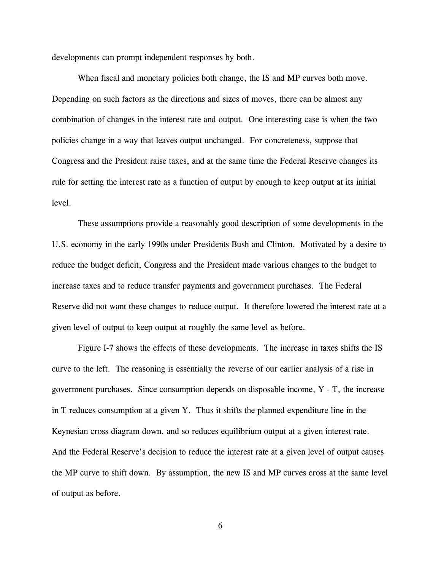developments can prompt independent responses by both.

When fiscal and monetary policies both change, the IS and MP curves both move. Depending on such factors as the directions and sizes of moves, there can be almost any combination of changes in the interest rate and output. One interesting case is when the two policies change in a way that leaves output unchanged. For concreteness, suppose that Congress and the President raise taxes, and at the same time the Federal Reserve changes its rule for setting the interest rate as a function of output by enough to keep output at its initial level.

These assumptions provide a reasonably good description of some developments in the U.S. economy in the early 1990s under Presidents Bush and Clinton. Motivated by a desire to reduce the budget deficit, Congress and the President made various changes to the budget to increase taxes and to reduce transfer payments and government purchases. The Federal Reserve did not want these changes to reduce output. It therefore lowered the interest rate at a given level of output to keep output at roughly the same level as before.

Figure I-7 shows the effects of these developments. The increase in taxes shifts the IS curve to the left. The reasoning is essentially the reverse of our earlier analysis of a rise in government purchases. Since consumption depends on disposable income, Y - T, the increase in T reduces consumption at a given Y. Thus it shifts the planned expenditure line in the Keynesian cross diagram down, and so reduces equilibrium output at a given interest rate. And the Federal Reserve's decision to reduce the interest rate at a given level of output causes the MP curve to shift down. By assumption, the new IS and MP curves cross at the same level of output as before.

6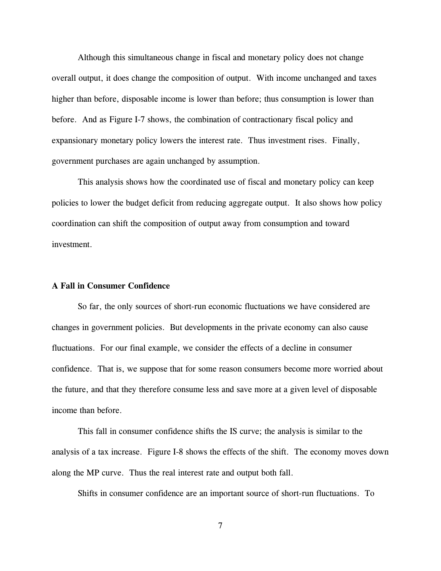Although this simultaneous change in fiscal and monetary policy does not change overall output, it does change the composition of output. With income unchanged and taxes higher than before, disposable income is lower than before; thus consumption is lower than before. And as Figure I-7 shows, the combination of contractionary fiscal policy and expansionary monetary policy lowers the interest rate. Thus investment rises. Finally, government purchases are again unchanged by assumption.

This analysis shows how the coordinated use of fiscal and monetary policy can keep policies to lower the budget deficit from reducing aggregate output. It also shows how policy coordination can shift the composition of output away from consumption and toward investment.

### **A Fall in Consumer Confidence**

So far, the only sources of short-run economic fluctuations we have considered are changes in government policies. But developments in the private economy can also cause fluctuations. For our final example, we consider the effects of a decline in consumer confidence. That is, we suppose that for some reason consumers become more worried about the future, and that they therefore consume less and save more at a given level of disposable income than before.

This fall in consumer confidence shifts the IS curve; the analysis is similar to the analysis of a tax increase. Figure I-8 shows the effects of the shift. The economy moves down along the MP curve. Thus the real interest rate and output both fall.

Shifts in consumer confidence are an important source of short-run fluctuations. To

7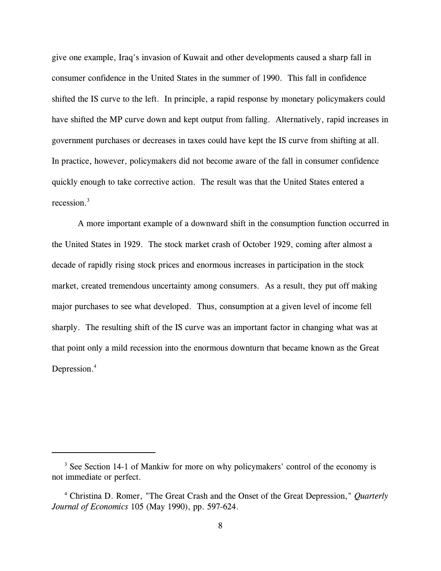give one example, Iraq's invasion of Kuwait and other developments caused a sharp fall in consumer confidence in the United States in the summer of 1990. This fall in confidence shifted the IS curve to the left. In principle, a rapid response by monetary policymakers could have shifted the MP curve down and kept output from falling. Alternatively, rapid increases in government purchases or decreases in taxes could have kept the IS curve from shifting at all. In practice, however, policymakers did not become aware of the fall in consumer confidence quickly enough to take corrective action. The result was that the United States entered a recession.<sup>3</sup>

A more important example of a downward shift in the consumption function occurred in the United States in 1929. The stock market crash of October 1929, coming after almost a decade of rapidly rising stock prices and enormous increases in participation in the stock market, created tremendous uncertainty among consumers. As a result, they put off making major purchases to see what developed. Thus, consumption at a given level of income fell sharply. The resulting shift of the IS curve was an important factor in changing what was at that point only a mild recession into the enormous downturn that became known as the Great Depression.<sup>4</sup>

 $3$  See Section 14-1 of Mankiw for more on why policymakers' control of the economy is not immediate or perfect.

Christina D. Romer, "The Great Crash and the Onset of the Great Depression," *Quarterly* <sup>4</sup> *Journal of Economics* 105 (May 1990), pp. 597-624.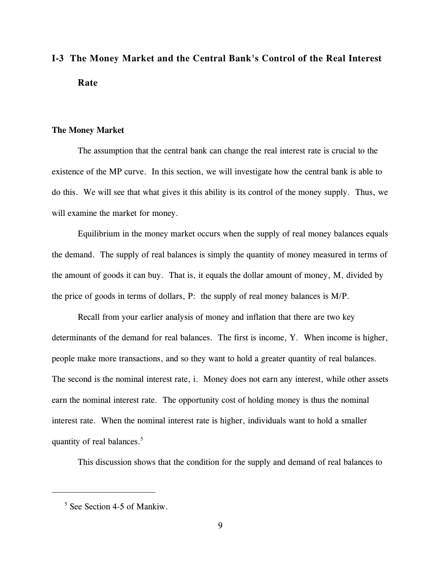# **I-3 The Money Market and the Central Bank's Control of the Real Interest Rate**

### **The Money Market**

The assumption that the central bank can change the real interest rate is crucial to the existence of the MP curve. In this section, we will investigate how the central bank is able to do this. We will see that what gives it this ability is its control of the money supply. Thus, we will examine the market for money.

Equilibrium in the money market occurs when the supply of real money balances equals the demand. The supply of real balances is simply the quantity of money measured in terms of the amount of goods it can buy. That is, it equals the dollar amount of money, M, divided by the price of goods in terms of dollars, P: the supply of real money balances is M/P.

Recall from your earlier analysis of money and inflation that there are two key determinants of the demand for real balances. The first is income, Y. When income is higher, people make more transactions, and so they want to hold a greater quantity of real balances. The second is the nominal interest rate, i. Money does not earn any interest, while other assets earn the nominal interest rate. The opportunity cost of holding money is thus the nominal interest rate. When the nominal interest rate is higher, individuals want to hold a smaller quantity of real balances. $5$ 

This discussion shows that the condition for the supply and demand of real balances to

 $<sup>5</sup>$  See Section 4-5 of Mankiw.</sup>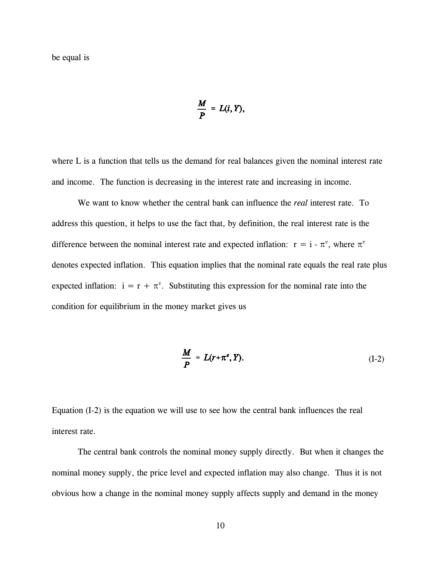$$
\frac{M}{P} = L(i, Y),
$$

where L is a function that tells us the demand for real balances given the nominal interest rate and income. The function is decreasing in the interest rate and increasing in income.

We want to know whether the central bank can influence the *real* interest rate. To address this question, it helps to use the fact that, by definition, the real interest rate is the difference between the nominal interest rate and expected inflation:  $r = i - \pi^e$ , where  $\pi^e$ denotes expected inflation. This equation implies that the nominal rate equals the real rate plus expected inflation:  $i = r + \pi^e$ . Substituting this expression for the nominal rate into the condition for equilibrium in the money market gives us

$$
\frac{M}{P} = L(r + \pi^e, Y). \tag{I-2}
$$

Equation (I-2) is the equation we will use to see how the central bank influences the real interest rate.

The central bank controls the nominal money supply directly. But when it changes the nominal money supply, the price level and expected inflation may also change. Thus it is not obvious how a change in the nominal money supply affects supply and demand in the money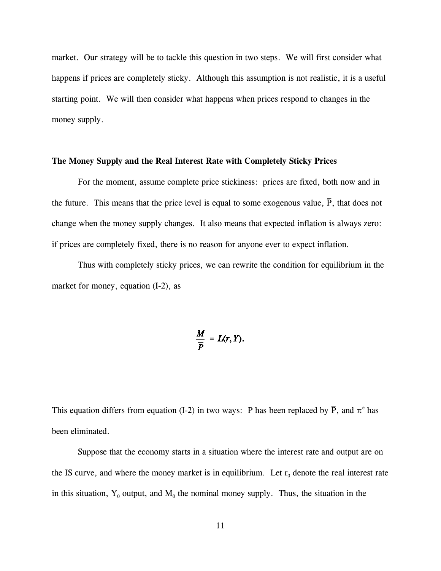market. Our strategy will be to tackle this question in two steps. We will first consider what happens if prices are completely sticky. Although this assumption is not realistic, it is a useful starting point. We will then consider what happens when prices respond to changes in the money supply.

#### **The Money Supply and the Real Interest Rate with Completely Sticky Prices**

For the moment, assume complete price stickiness: prices are fixed, both now and in the future. This means that the price level is equal to some exogenous value,  $\overline{P}$ , that does not  $\overline{a}$ change when the money supply changes. It also means that expected inflation is always zero: if prices are completely fixed, there is no reason for anyone ever to expect inflation.

Thus with completely sticky prices, we can rewrite the condition for equilibrium in the market for money, equation  $(I-2)$ , as

$$
\frac{M}{\overline{P}} = L(r, Y).
$$

This equation differs from equation (I-2) in two ways: P has been replaced by  $\bar{P}$ , and  $\pi^e$  has  $\overline{a}$ been eliminated.

Suppose that the economy starts in a situation where the interest rate and output are on the IS curve, and where the money market is in equilibrium. Let  $r_0$  denote the real interest rate in this situation,  $Y_0$  output, and  $M_0$  the nominal money supply. Thus, the situation in the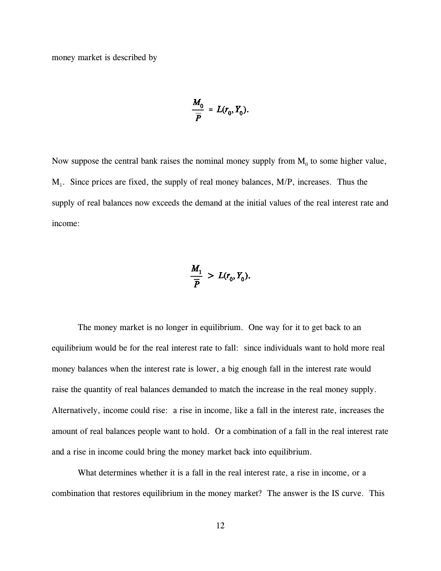money market is described by

$$
\frac{M_0}{\overline{P}} = L(r_0, Y_0).
$$

Now suppose the central bank raises the nominal money supply from  $M_0$  to some higher value,  $M_1$ . Since prices are fixed, the supply of real money balances,  $M/P$ , increases. Thus the supply of real balances now exceeds the demand at the initial values of the real interest rate and income:

$$
\frac{M_1}{\overline{P}} > L(r_0, Y_0)
$$

The money market is no longer in equilibrium. One way for it to get back to an equilibrium would be for the real interest rate to fall: since individuals want to hold more real money balances when the interest rate is lower, a big enough fall in the interest rate would raise the quantity of real balances demanded to match the increase in the real money supply. Alternatively, income could rise: a rise in income, like a fall in the interest rate, increases the amount of real balances people want to hold. Or a combination of a fall in the real interest rate and a rise in income could bring the money market back into equilibrium.

What determines whether it is a fall in the real interest rate, a rise in income, or a combination that restores equilibrium in the money market? The answer is the IS curve. This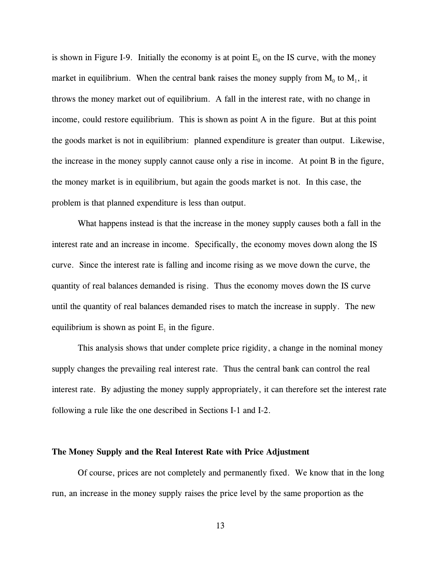is shown in Figure I-9. Initially the economy is at point  $E_0$  on the IS curve, with the money market in equilibrium. When the central bank raises the money supply from  $M_0$  to  $M_1$ , it throws the money market out of equilibrium. A fall in the interest rate, with no change in income, could restore equilibrium. This is shown as point A in the figure. But at this point the goods market is not in equilibrium: planned expenditure is greater than output. Likewise, the increase in the money supply cannot cause only a rise in income. At point B in the figure, the money market is in equilibrium, but again the goods market is not. In this case, the problem is that planned expenditure is less than output.

What happens instead is that the increase in the money supply causes both a fall in the interest rate and an increase in income. Specifically, the economy moves down along the IS curve. Since the interest rate is falling and income rising as we move down the curve, the quantity of real balances demanded is rising. Thus the economy moves down the IS curve until the quantity of real balances demanded rises to match the increase in supply. The new equilibrium is shown as point  $E_1$  in the figure.

This analysis shows that under complete price rigidity, a change in the nominal money supply changes the prevailing real interest rate. Thus the central bank can control the real interest rate. By adjusting the money supply appropriately, it can therefore set the interest rate following a rule like the one described in Sections I-1 and I-2.

# **The Money Supply and the Real Interest Rate with Price Adjustment**

Of course, prices are not completely and permanently fixed. We know that in the long run, an increase in the money supply raises the price level by the same proportion as the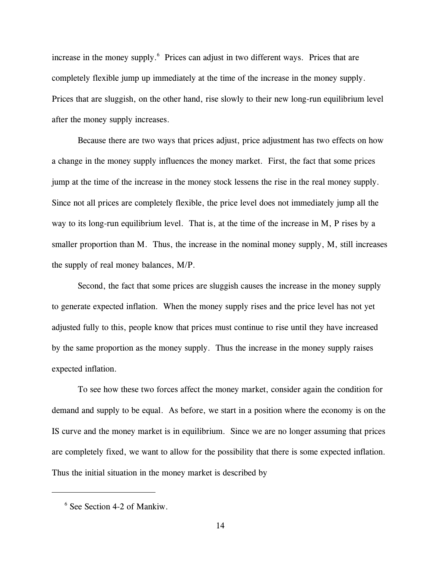increase in the money supply.<sup>6</sup> Prices can adjust in two different ways. Prices that are completely flexible jump up immediately at the time of the increase in the money supply. Prices that are sluggish, on the other hand, rise slowly to their new long-run equilibrium level after the money supply increases.

Because there are two ways that prices adjust, price adjustment has two effects on how a change in the money supply influences the money market. First, the fact that some prices jump at the time of the increase in the money stock lessens the rise in the real money supply. Since not all prices are completely flexible, the price level does not immediately jump all the way to its long-run equilibrium level. That is, at the time of the increase in M, P rises by a smaller proportion than M. Thus, the increase in the nominal money supply, M, still increases the supply of real money balances, M/P.

Second, the fact that some prices are sluggish causes the increase in the money supply to generate expected inflation. When the money supply rises and the price level has not yet adjusted fully to this, people know that prices must continue to rise until they have increased by the same proportion as the money supply. Thus the increase in the money supply raises expected inflation.

To see how these two forces affect the money market, consider again the condition for demand and supply to be equal. As before, we start in a position where the economy is on the IS curve and the money market is in equilibrium. Since we are no longer assuming that prices are completely fixed, we want to allow for the possibility that there is some expected inflation. Thus the initial situation in the money market is described by

 $6$  See Section 4-2 of Mankiw.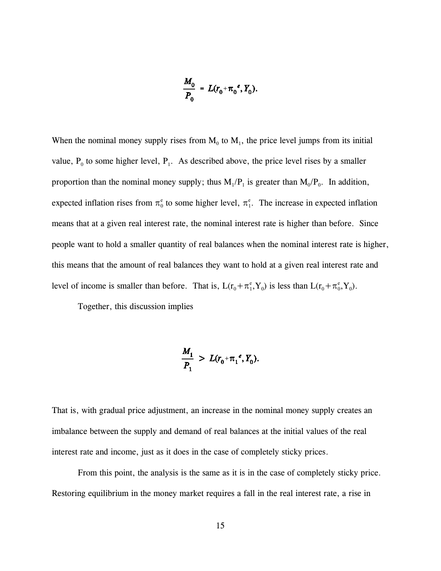$$
\frac{M_0}{P_0} = L(r_0 + \pi_0^e, Y_0).
$$

When the nominal money supply rises from  $M_0$  to  $M_1$ , the price level jumps from its initial value,  $P_0$  to some higher level,  $P_1$ . As described above, the price level rises by a smaller proportion than the nominal money supply; thus  $M_1/P_1$  is greater than  $M_0/P_0$ . In addition, expected inflation rises from  $\pi_0^e$  to some higher level,  $\pi_1^e$ . The increase in expected inflation means that at a given real interest rate, the nominal interest rate is higher than before. Since people want to hold a smaller quantity of real balances when the nominal interest rate is higher, this means that the amount of real balances they want to hold at a given real interest rate and level of income is smaller than before. That is,  $L(r_0 + \pi_f^e, Y_0)$  is less than  $L(r_0 + \pi_f^e, Y_0)$ .

Together, this discussion implies

$$
\frac{M_1}{P_1} > L(r_0 + \pi_1^e, Y_0).
$$

That is, with gradual price adjustment, an increase in the nominal money supply creates an imbalance between the supply and demand of real balances at the initial values of the real interest rate and income, just as it does in the case of completely sticky prices.

From this point, the analysis is the same as it is in the case of completely sticky price. Restoring equilibrium in the money market requires a fall in the real interest rate, a rise in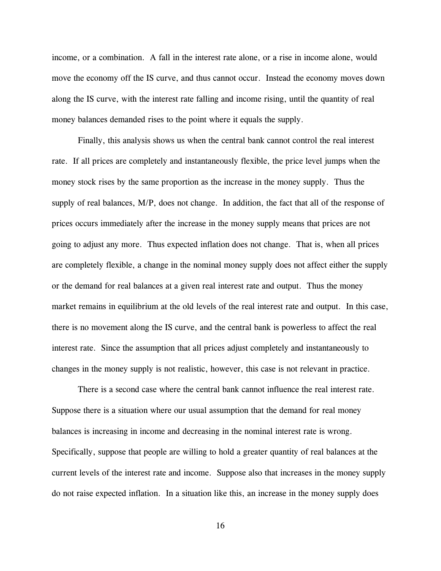income, or a combination. A fall in the interest rate alone, or a rise in income alone, would move the economy off the IS curve, and thus cannot occur. Instead the economy moves down along the IS curve, with the interest rate falling and income rising, until the quantity of real money balances demanded rises to the point where it equals the supply.

Finally, this analysis shows us when the central bank cannot control the real interest rate. If all prices are completely and instantaneously flexible, the price level jumps when the money stock rises by the same proportion as the increase in the money supply. Thus the supply of real balances, M/P, does not change. In addition, the fact that all of the response of prices occurs immediately after the increase in the money supply means that prices are not going to adjust any more. Thus expected inflation does not change. That is, when all prices are completely flexible, a change in the nominal money supply does not affect either the supply or the demand for real balances at a given real interest rate and output. Thus the money market remains in equilibrium at the old levels of the real interest rate and output. In this case, there is no movement along the IS curve, and the central bank is powerless to affect the real interest rate. Since the assumption that all prices adjust completely and instantaneously to changes in the money supply is not realistic, however, this case is not relevant in practice.

There is a second case where the central bank cannot influence the real interest rate. Suppose there is a situation where our usual assumption that the demand for real money balances is increasing in income and decreasing in the nominal interest rate is wrong. Specifically, suppose that people are willing to hold a greater quantity of real balances at the current levels of the interest rate and income. Suppose also that increases in the money supply do not raise expected inflation. In a situation like this, an increase in the money supply does

16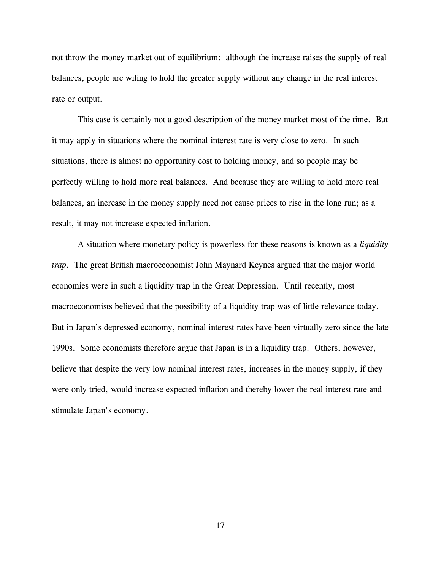not throw the money market out of equilibrium: although the increase raises the supply of real balances, people are wiling to hold the greater supply without any change in the real interest rate or output.

This case is certainly not a good description of the money market most of the time. But it may apply in situations where the nominal interest rate is very close to zero. In such situations, there is almost no opportunity cost to holding money, and so people may be perfectly willing to hold more real balances. And because they are willing to hold more real balances, an increase in the money supply need not cause prices to rise in the long run; as a result, it may not increase expected inflation.

A situation where monetary policy is powerless for these reasons is known as a *liquidity trap*. The great British macroeconomist John Maynard Keynes argued that the major world economies were in such a liquidity trap in the Great Depression. Until recently, most macroeconomists believed that the possibility of a liquidity trap was of little relevance today. But in Japan's depressed economy, nominal interest rates have been virtually zero since the late 1990s. Some economists therefore argue that Japan is in a liquidity trap. Others, however, believe that despite the very low nominal interest rates, increases in the money supply, if they were only tried, would increase expected inflation and thereby lower the real interest rate and stimulate Japan's economy.

17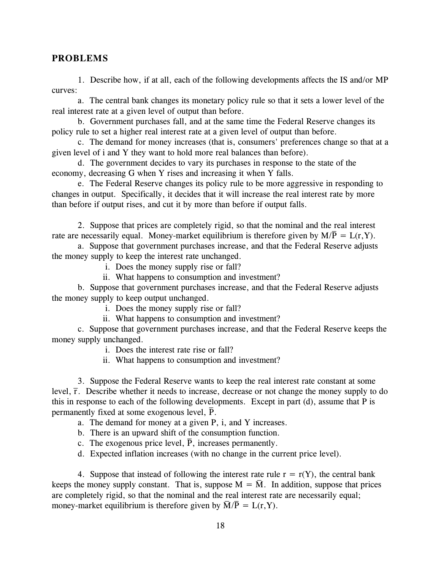# **PROBLEMS**

1. Describe how, if at all, each of the following developments affects the IS and/or MP curves:

a. The central bank changes its monetary policy rule so that it sets a lower level of the real interest rate at a given level of output than before.

b. Government purchases fall, and at the same time the Federal Reserve changes its policy rule to set a higher real interest rate at a given level of output than before.

c. The demand for money increases (that is, consumers' preferences change so that at a given level of i and Y they want to hold more real balances than before).

d. The government decides to vary its purchases in response to the state of the economy, decreasing G when Y rises and increasing it when Y falls.

e. The Federal Reserve changes its policy rule to be more aggressive in responding to changes in output. Specifically, it decides that it will increase the real interest rate by more than before if output rises, and cut it by more than before if output falls.

2. Suppose that prices are completely rigid, so that the nominal and the real interest \_ rate are necessarily equal. Money-market equilibrium is therefore given by  $M/\overline{P} = L(r, Y)$ .

a. Suppose that government purchases increase, and that the Federal Reserve adjusts the money supply to keep the interest rate unchanged.

i. Does the money supply rise or fall?

ii. What happens to consumption and investment?

b. Suppose that government purchases increase, and that the Federal Reserve adjusts the money supply to keep output unchanged.

i. Does the money supply rise or fall?

ii. What happens to consumption and investment?

c. Suppose that government purchases increase, and that the Federal Reserve keeps the money supply unchanged.

i. Does the interest rate rise or fall?

ii. What happens to consumption and investment?

3. Suppose the Federal Reserve wants to keep the real interest rate constant at some level,  $\bar{r}$ . Describe whether it needs to increase, decrease or not change the money supply to do r this in response to each of the following developments. Except in part (d), assume that P is \_ permanently fixed at some exogenous level,  $\overline{P}$ .

a. The demand for money at a given P, i, and Y increases.

b. There is an upward shift of the consumption function.

c. The exogenous price level,  $\overline{P}$ , increases permanently.

d. Expected inflation increases (with no change in the current price level).

4. Suppose that instead of following the interest rate rule  $r = r(Y)$ , the central bank keeps the money supply constant. That is, suppose  $M = \overline{M}$ . In addition, suppose that prices are completely rigid, so that the nominal and the real interest rate are necessarily equal; money-market equilibrium is therefore given by  $\overline{M}/\overline{P} = L(r, Y)$ .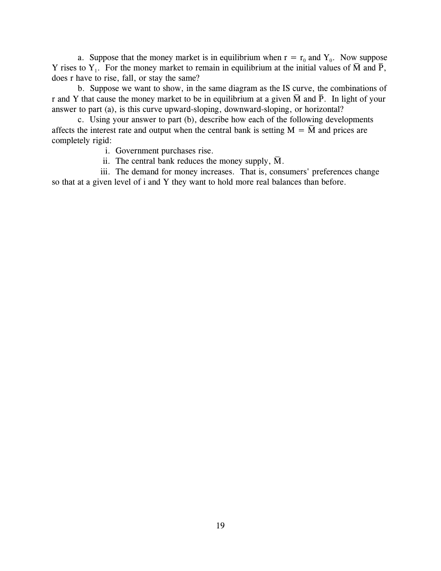a. Suppose that the money market is in equilibrium when  $r = r_0$  and  $Y_0$ . Now suppose Y rises to  $Y_1$ . For the money market to remain in equilibrium at the initial values of M and P, does r have to rise, fall, or stay the same?

b. Suppose we want to show, in the same diagram as the IS curve, the combinations of r and Y that cause the money market to be in equilibrium at a given  $\overline{M}$  and  $\overline{P}$ . In light of your answer to part (a), is this curve upward-sloping, downward-sloping, or horizontal?

c. Using your answer to part (b), describe how each of the following developments \_ affects the interest rate and output when the central bank is setting  $M = \overline{M}$  and prices are completely rigid:

i. Government purchases rise.

ii. The central bank reduces the money supply, M.  $\overline{a}$ 

iii. The demand for money increases. That is, consumers' preferences change so that at a given level of i and Y they want to hold more real balances than before.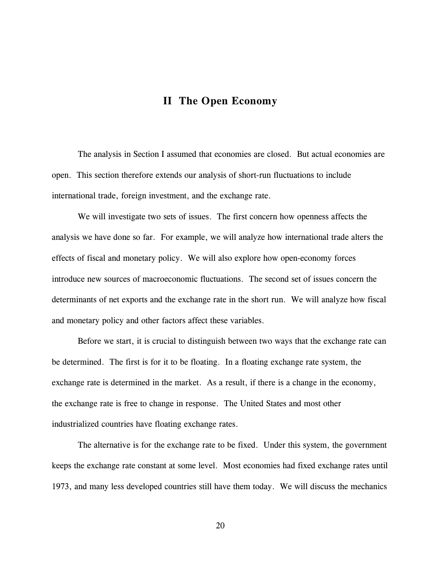# **II The Open Economy**

The analysis in Section I assumed that economies are closed. But actual economies are open. This section therefore extends our analysis of short-run fluctuations to include international trade, foreign investment, and the exchange rate.

We will investigate two sets of issues. The first concern how openness affects the analysis we have done so far. For example, we will analyze how international trade alters the effects of fiscal and monetary policy. We will also explore how open-economy forces introduce new sources of macroeconomic fluctuations. The second set of issues concern the determinants of net exports and the exchange rate in the short run. We will analyze how fiscal and monetary policy and other factors affect these variables.

Before we start, it is crucial to distinguish between two ways that the exchange rate can be determined. The first is for it to be floating. In a floating exchange rate system, the exchange rate is determined in the market. As a result, if there is a change in the economy, the exchange rate is free to change in response. The United States and most other industrialized countries have floating exchange rates.

The alternative is for the exchange rate to be fixed. Under this system, the government keeps the exchange rate constant at some level. Most economies had fixed exchange rates until 1973, and many less developed countries still have them today. We will discuss the mechanics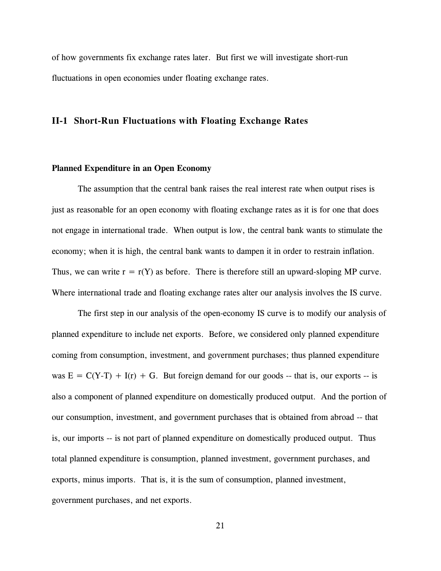of how governments fix exchange rates later. But first we will investigate short-run fluctuations in open economies under floating exchange rates.

# **II-1 Short-Run Fluctuations with Floating Exchange Rates**

#### **Planned Expenditure in an Open Economy**

The assumption that the central bank raises the real interest rate when output rises is just as reasonable for an open economy with floating exchange rates as it is for one that does not engage in international trade. When output is low, the central bank wants to stimulate the economy; when it is high, the central bank wants to dampen it in order to restrain inflation. Thus, we can write  $r = r(Y)$  as before. There is therefore still an upward-sloping MP curve. Where international trade and floating exchange rates alter our analysis involves the IS curve.

The first step in our analysis of the open-economy IS curve is to modify our analysis of planned expenditure to include net exports. Before, we considered only planned expenditure coming from consumption, investment, and government purchases; thus planned expenditure was  $E = C(Y-T) + I(r) + G$ . But foreign demand for our goods -- that is, our exports -- is also a component of planned expenditure on domestically produced output. And the portion of our consumption, investment, and government purchases that is obtained from abroad -- that is, our imports -- is not part of planned expenditure on domestically produced output. Thus total planned expenditure is consumption, planned investment, government purchases, and exports, minus imports. That is, it is the sum of consumption, planned investment, government purchases, and net exports.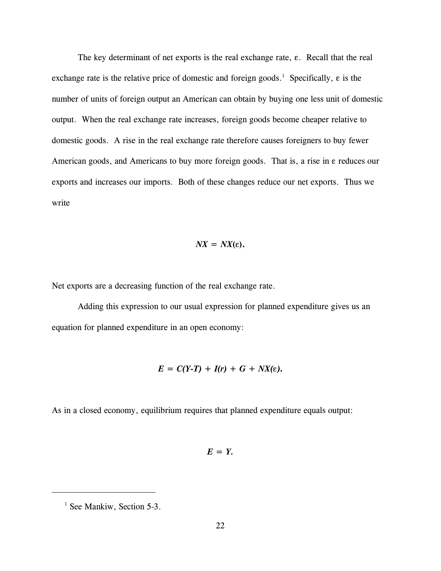The key determinant of net exports is the real exchange rate,  $\varepsilon$ . Recall that the real exchange rate is the relative price of domestic and foreign goods.<sup>1</sup> Specifically,  $\varepsilon$  is the number of units of foreign output an American can obtain by buying one less unit of domestic output. When the real exchange rate increases, foreign goods become cheaper relative to domestic goods. A rise in the real exchange rate therefore causes foreigners to buy fewer American goods, and Americans to buy more foreign goods. That is, a rise in  $\varepsilon$  reduces our exports and increases our imports. Both of these changes reduce our net exports. Thus we write

$$
NX = N X(\varepsilon).
$$

Net exports are a decreasing function of the real exchange rate.

Adding this expression to our usual expression for planned expenditure gives us an equation for planned expenditure in an open economy:

$$
E = C(Y-T) + I(r) + G + NX(\varepsilon).
$$

As in a closed economy, equilibrium requires that planned expenditure equals output:

$$
E = Y.
$$

 $<sup>1</sup>$  See Mankiw, Section 5-3.</sup>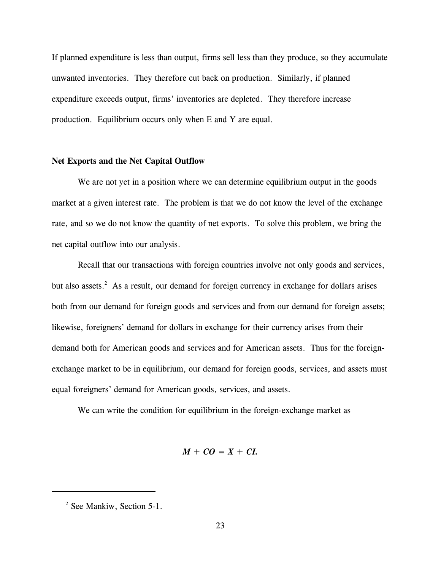If planned expenditure is less than output, firms sell less than they produce, so they accumulate unwanted inventories. They therefore cut back on production. Similarly, if planned expenditure exceeds output, firms' inventories are depleted. They therefore increase production. Equilibrium occurs only when E and Y are equal.

# **Net Exports and the Net Capital Outflow**

We are not yet in a position where we can determine equilibrium output in the goods market at a given interest rate. The problem is that we do not know the level of the exchange rate, and so we do not know the quantity of net exports. To solve this problem, we bring the net capital outflow into our analysis.

Recall that our transactions with foreign countries involve not only goods and services, but also assets. $2$  As a result, our demand for foreign currency in exchange for dollars arises both from our demand for foreign goods and services and from our demand for foreign assets; likewise, foreigners' demand for dollars in exchange for their currency arises from their demand both for American goods and services and for American assets. Thus for the foreignexchange market to be in equilibrium, our demand for foreign goods, services, and assets must equal foreigners' demand for American goods, services, and assets.

We can write the condition for equilibrium in the foreign-exchange market as

$$
M+CO=X+CI.
$$

 $2$  See Mankiw, Section 5-1.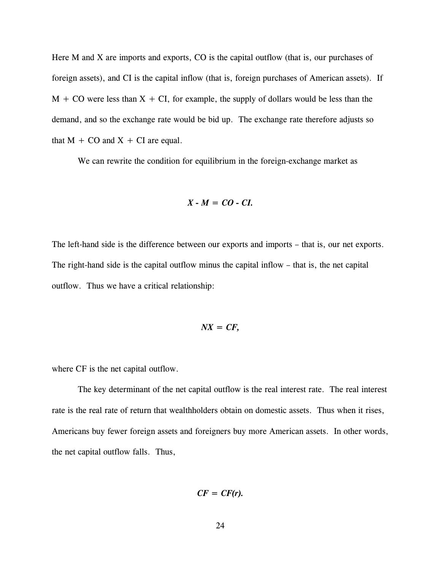Here M and X are imports and exports, CO is the capital outflow (that is, our purchases of foreign assets), and CI is the capital inflow (that is, foreign purchases of American assets). If  $M + CO$  were less than  $X + CI$ , for example, the supply of dollars would be less than the demand, and so the exchange rate would be bid up. The exchange rate therefore adjusts so that  $M + CO$  and  $X + CI$  are equal.

We can rewrite the condition for equilibrium in the foreign-exchange market as

$$
X - M = CO - CI.
$$

The left-hand side is the difference between our exports and imports – that is, our net exports. The right-hand side is the capital outflow minus the capital inflow – that is, the net capital outflow. Thus we have a critical relationship:

$$
NX = CF,
$$

where CF is the net capital outflow.

The key determinant of the net capital outflow is the real interest rate. The real interest rate is the real rate of return that wealthholders obtain on domestic assets. Thus when it rises, Americans buy fewer foreign assets and foreigners buy more American assets. In other words, the net capital outflow falls. Thus,

$$
CF = CF(r).
$$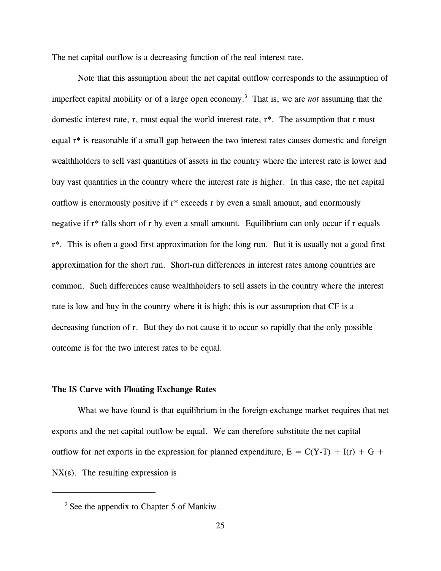The net capital outflow is a decreasing function of the real interest rate.

Note that this assumption about the net capital outflow corresponds to the assumption of imperfect capital mobility or of a large open economy.<sup>3</sup> That is, we are *not* assuming that the domestic interest rate, r, must equal the world interest rate, r\*. The assumption that r must equal r\* is reasonable if a small gap between the two interest rates causes domestic and foreign wealthholders to sell vast quantities of assets in the country where the interest rate is lower and buy vast quantities in the country where the interest rate is higher. In this case, the net capital outflow is enormously positive if r\* exceeds r by even a small amount, and enormously negative if r\* falls short of r by even a small amount. Equilibrium can only occur if r equals r\*. This is often a good first approximation for the long run. But it is usually not a good first approximation for the short run. Short-run differences in interest rates among countries are common. Such differences cause wealthholders to sell assets in the country where the interest rate is low and buy in the country where it is high; this is our assumption that CF is a decreasing function of r. But they do not cause it to occur so rapidly that the only possible outcome is for the two interest rates to be equal.

## **The IS Curve with Floating Exchange Rates**

What we have found is that equilibrium in the foreign-exchange market requires that net exports and the net capital outflow be equal. We can therefore substitute the net capital outflow for net exports in the expression for planned expenditure,  $E = C(Y-T) + I(r) + G +$  $NX(\varepsilon)$ . The resulting expression is

 $3$  See the appendix to Chapter 5 of Mankiw.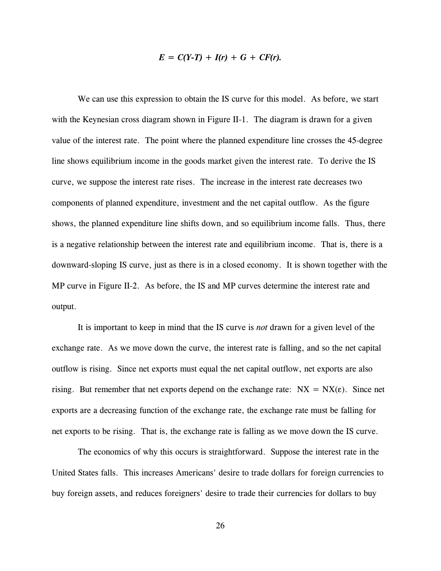$$
E = C(Y-T) + I(r) + G + CF(r).
$$

We can use this expression to obtain the IS curve for this model. As before, we start with the Keynesian cross diagram shown in Figure II-1. The diagram is drawn for a given value of the interest rate. The point where the planned expenditure line crosses the 45-degree line shows equilibrium income in the goods market given the interest rate. To derive the IS curve, we suppose the interest rate rises. The increase in the interest rate decreases two components of planned expenditure, investment and the net capital outflow. As the figure shows, the planned expenditure line shifts down, and so equilibrium income falls. Thus, there is a negative relationship between the interest rate and equilibrium income. That is, there is a downward-sloping IS curve, just as there is in a closed economy. It is shown together with the MP curve in Figure II-2. As before, the IS and MP curves determine the interest rate and output.

It is important to keep in mind that the IS curve is *not* drawn for a given level of the exchange rate. As we move down the curve, the interest rate is falling, and so the net capital outflow is rising. Since net exports must equal the net capital outflow, net exports are also rising. But remember that net exports depend on the exchange rate:  $NX = NX(\epsilon)$ . Since net exports are a decreasing function of the exchange rate, the exchange rate must be falling for net exports to be rising. That is, the exchange rate is falling as we move down the IS curve.

The economics of why this occurs is straightforward. Suppose the interest rate in the United States falls. This increases Americans' desire to trade dollars for foreign currencies to buy foreign assets, and reduces foreigners' desire to trade their currencies for dollars to buy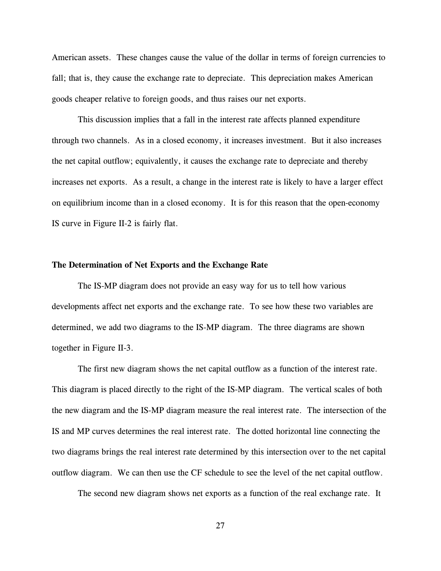American assets. These changes cause the value of the dollar in terms of foreign currencies to fall; that is, they cause the exchange rate to depreciate. This depreciation makes American goods cheaper relative to foreign goods, and thus raises our net exports.

This discussion implies that a fall in the interest rate affects planned expenditure through two channels. As in a closed economy, it increases investment. But it also increases the net capital outflow; equivalently, it causes the exchange rate to depreciate and thereby increases net exports. As a result, a change in the interest rate is likely to have a larger effect on equilibrium income than in a closed economy. It is for this reason that the open-economy IS curve in Figure II-2 is fairly flat.

#### **The Determination of Net Exports and the Exchange Rate**

The IS-MP diagram does not provide an easy way for us to tell how various developments affect net exports and the exchange rate. To see how these two variables are determined, we add two diagrams to the IS-MP diagram. The three diagrams are shown together in Figure II-3.

The first new diagram shows the net capital outflow as a function of the interest rate. This diagram is placed directly to the right of the IS-MP diagram. The vertical scales of both the new diagram and the IS-MP diagram measure the real interest rate. The intersection of the IS and MP curves determines the real interest rate. The dotted horizontal line connecting the two diagrams brings the real interest rate determined by this intersection over to the net capital outflow diagram. We can then use the CF schedule to see the level of the net capital outflow.

The second new diagram shows net exports as a function of the real exchange rate. It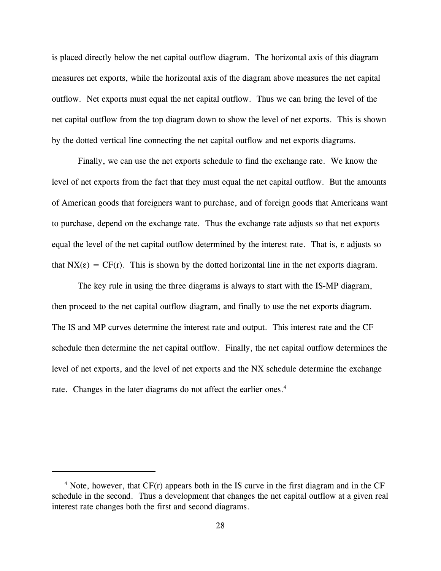is placed directly below the net capital outflow diagram. The horizontal axis of this diagram measures net exports, while the horizontal axis of the diagram above measures the net capital outflow. Net exports must equal the net capital outflow. Thus we can bring the level of the net capital outflow from the top diagram down to show the level of net exports. This is shown by the dotted vertical line connecting the net capital outflow and net exports diagrams.

Finally, we can use the net exports schedule to find the exchange rate. We know the level of net exports from the fact that they must equal the net capital outflow. But the amounts of American goods that foreigners want to purchase, and of foreign goods that Americans want to purchase, depend on the exchange rate. Thus the exchange rate adjusts so that net exports equal the level of the net capital outflow determined by the interest rate. That is,  $\varepsilon$  adjusts so that  $NX(\epsilon) = CF(r)$ . This is shown by the dotted horizontal line in the net exports diagram.

The key rule in using the three diagrams is always to start with the IS-MP diagram, then proceed to the net capital outflow diagram, and finally to use the net exports diagram. The IS and MP curves determine the interest rate and output. This interest rate and the CF schedule then determine the net capital outflow. Finally, the net capital outflow determines the level of net exports, and the level of net exports and the NX schedule determine the exchange rate. Changes in the later diagrams do not affect the earlier ones.<sup>4</sup>

 $4$  Note, however, that CF(r) appears both in the IS curve in the first diagram and in the CF schedule in the second. Thus a development that changes the net capital outflow at a given real interest rate changes both the first and second diagrams.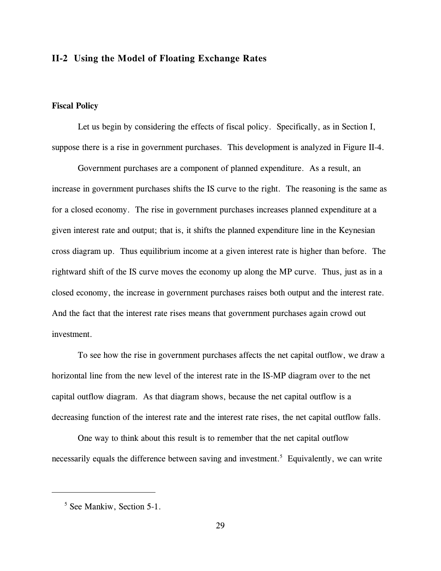# **II-2 Using the Model of Floating Exchange Rates**

### **Fiscal Policy**

Let us begin by considering the effects of fiscal policy. Specifically, as in Section I, suppose there is a rise in government purchases. This development is analyzed in Figure II-4.

Government purchases are a component of planned expenditure. As a result, an increase in government purchases shifts the IS curve to the right. The reasoning is the same as for a closed economy. The rise in government purchases increases planned expenditure at a given interest rate and output; that is, it shifts the planned expenditure line in the Keynesian cross diagram up. Thus equilibrium income at a given interest rate is higher than before. The rightward shift of the IS curve moves the economy up along the MP curve. Thus, just as in a closed economy, the increase in government purchases raises both output and the interest rate. And the fact that the interest rate rises means that government purchases again crowd out investment.

To see how the rise in government purchases affects the net capital outflow, we draw a horizontal line from the new level of the interest rate in the IS-MP diagram over to the net capital outflow diagram. As that diagram shows, because the net capital outflow is a decreasing function of the interest rate and the interest rate rises, the net capital outflow falls.

One way to think about this result is to remember that the net capital outflow necessarily equals the difference between saving and investment.<sup>5</sup> Equivalently, we can write

 $<sup>5</sup>$  See Mankiw, Section 5-1.</sup>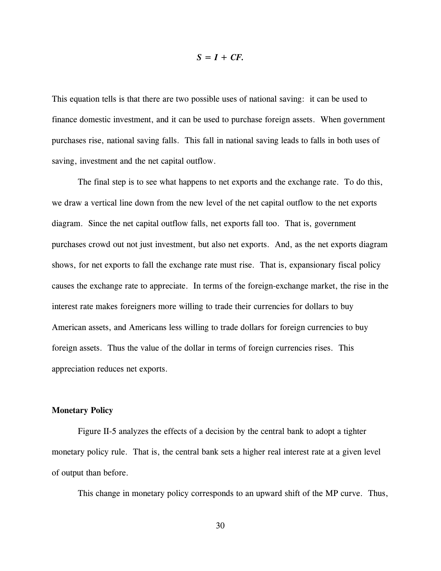# $S = I + CF$ .

This equation tells is that there are two possible uses of national saving: it can be used to finance domestic investment, and it can be used to purchase foreign assets. When government purchases rise, national saving falls. This fall in national saving leads to falls in both uses of saving, investment and the net capital outflow.

The final step is to see what happens to net exports and the exchange rate. To do this, we draw a vertical line down from the new level of the net capital outflow to the net exports diagram. Since the net capital outflow falls, net exports fall too. That is, government purchases crowd out not just investment, but also net exports. And, as the net exports diagram shows, for net exports to fall the exchange rate must rise. That is, expansionary fiscal policy causes the exchange rate to appreciate. In terms of the foreign-exchange market, the rise in the interest rate makes foreigners more willing to trade their currencies for dollars to buy American assets, and Americans less willing to trade dollars for foreign currencies to buy foreign assets. Thus the value of the dollar in terms of foreign currencies rises. This appreciation reduces net exports.

## **Monetary Policy**

Figure II-5 analyzes the effects of a decision by the central bank to adopt a tighter monetary policy rule. That is, the central bank sets a higher real interest rate at a given level of output than before.

This change in monetary policy corresponds to an upward shift of the MP curve. Thus,

30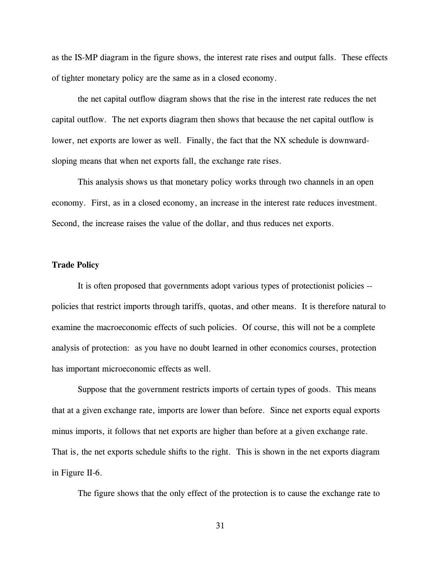as the IS-MP diagram in the figure shows, the interest rate rises and output falls. These effects of tighter monetary policy are the same as in a closed economy.

the net capital outflow diagram shows that the rise in the interest rate reduces the net capital outflow. The net exports diagram then shows that because the net capital outflow is lower, net exports are lower as well. Finally, the fact that the NX schedule is downwardsloping means that when net exports fall, the exchange rate rises.

This analysis shows us that monetary policy works through two channels in an open economy. First, as in a closed economy, an increase in the interest rate reduces investment. Second, the increase raises the value of the dollar, and thus reduces net exports.

#### **Trade Policy**

It is often proposed that governments adopt various types of protectionist policies - policies that restrict imports through tariffs, quotas, and other means. It is therefore natural to examine the macroeconomic effects of such policies. Of course, this will not be a complete analysis of protection: as you have no doubt learned in other economics courses, protection has important microeconomic effects as well.

Suppose that the government restricts imports of certain types of goods. This means that at a given exchange rate, imports are lower than before. Since net exports equal exports minus imports, it follows that net exports are higher than before at a given exchange rate. That is, the net exports schedule shifts to the right. This is shown in the net exports diagram in Figure II-6.

The figure shows that the only effect of the protection is to cause the exchange rate to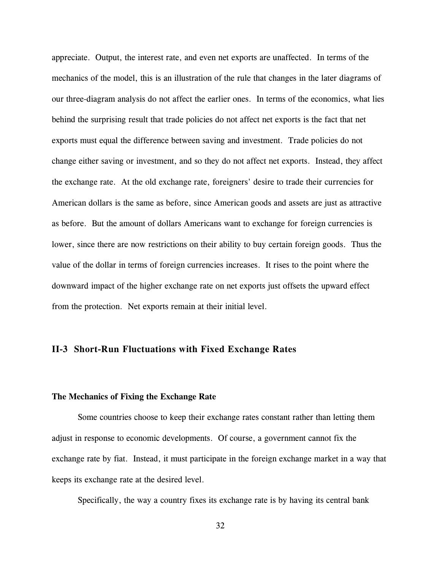appreciate. Output, the interest rate, and even net exports are unaffected. In terms of the mechanics of the model, this is an illustration of the rule that changes in the later diagrams of our three-diagram analysis do not affect the earlier ones. In terms of the economics, what lies behind the surprising result that trade policies do not affect net exports is the fact that net exports must equal the difference between saving and investment. Trade policies do not change either saving or investment, and so they do not affect net exports. Instead, they affect the exchange rate. At the old exchange rate, foreigners' desire to trade their currencies for American dollars is the same as before, since American goods and assets are just as attractive as before. But the amount of dollars Americans want to exchange for foreign currencies is lower, since there are now restrictions on their ability to buy certain foreign goods. Thus the value of the dollar in terms of foreign currencies increases. It rises to the point where the downward impact of the higher exchange rate on net exports just offsets the upward effect from the protection. Net exports remain at their initial level.

# **II-3 Short-Run Fluctuations with Fixed Exchange Rates**

# **The Mechanics of Fixing the Exchange Rate**

Some countries choose to keep their exchange rates constant rather than letting them adjust in response to economic developments. Of course, a government cannot fix the exchange rate by fiat. Instead, it must participate in the foreign exchange market in a way that keeps its exchange rate at the desired level.

Specifically, the way a country fixes its exchange rate is by having its central bank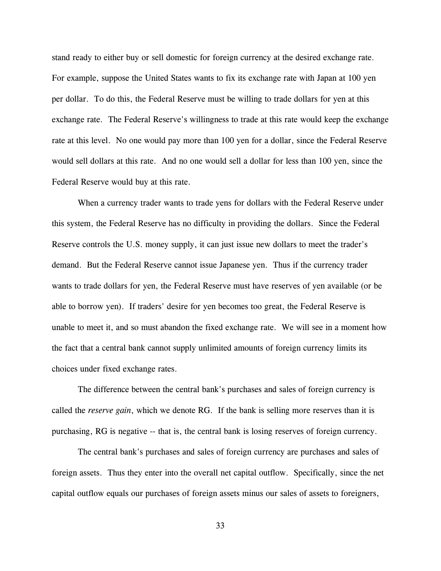stand ready to either buy or sell domestic for foreign currency at the desired exchange rate. For example, suppose the United States wants to fix its exchange rate with Japan at 100 yen per dollar. To do this, the Federal Reserve must be willing to trade dollars for yen at this exchange rate. The Federal Reserve's willingness to trade at this rate would keep the exchange rate at this level. No one would pay more than 100 yen for a dollar, since the Federal Reserve would sell dollars at this rate. And no one would sell a dollar for less than 100 yen, since the Federal Reserve would buy at this rate.

When a currency trader wants to trade yens for dollars with the Federal Reserve under this system, the Federal Reserve has no difficulty in providing the dollars. Since the Federal Reserve controls the U.S. money supply, it can just issue new dollars to meet the trader's demand. But the Federal Reserve cannot issue Japanese yen. Thus if the currency trader wants to trade dollars for yen, the Federal Reserve must have reserves of yen available (or be able to borrow yen). If traders' desire for yen becomes too great, the Federal Reserve is unable to meet it, and so must abandon the fixed exchange rate. We will see in a moment how the fact that a central bank cannot supply unlimited amounts of foreign currency limits its choices under fixed exchange rates.

The difference between the central bank's purchases and sales of foreign currency is called the *reserve gain*, which we denote RG. If the bank is selling more reserves than it is purchasing, RG is negative -- that is, the central bank is losing reserves of foreign currency.

The central bank's purchases and sales of foreign currency are purchases and sales of foreign assets. Thus they enter into the overall net capital outflow. Specifically, since the net capital outflow equals our purchases of foreign assets minus our sales of assets to foreigners,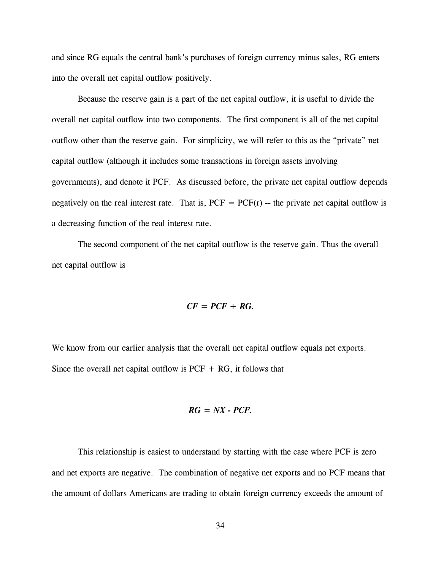and since RG equals the central bank's purchases of foreign currency minus sales, RG enters into the overall net capital outflow positively.

Because the reserve gain is a part of the net capital outflow, it is useful to divide the overall net capital outflow into two components. The first component is all of the net capital outflow other than the reserve gain. For simplicity, we will refer to this as the "private" net capital outflow (although it includes some transactions in foreign assets involving governments), and denote it PCF. As discussed before, the private net capital outflow depends negatively on the real interest rate. That is,  $PCF = PCF(r)$  -- the private net capital outflow is a decreasing function of the real interest rate.

The second component of the net capital outflow is the reserve gain. Thus the overall net capital outflow is

$$
CF = PCF + RG.
$$

We know from our earlier analysis that the overall net capital outflow equals net exports. Since the overall net capital outflow is  $PCF + RG$ , it follows that

$$
RG = NX - PCF.
$$

This relationship is easiest to understand by starting with the case where PCF is zero and net exports are negative. The combination of negative net exports and no PCF means that the amount of dollars Americans are trading to obtain foreign currency exceeds the amount of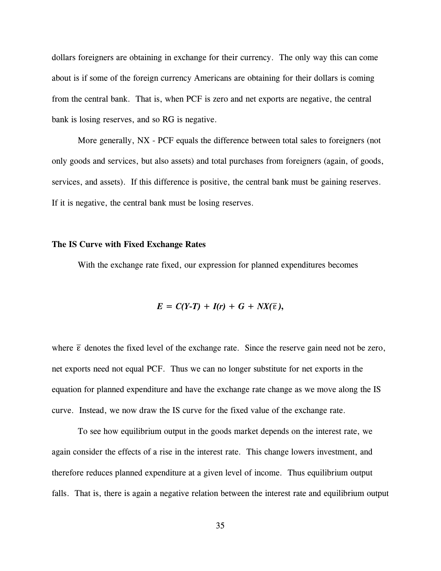dollars foreigners are obtaining in exchange for their currency. The only way this can come about is if some of the foreign currency Americans are obtaining for their dollars is coming from the central bank. That is, when PCF is zero and net exports are negative, the central bank is losing reserves, and so RG is negative.

More generally, NX - PCF equals the difference between total sales to foreigners (not only goods and services, but also assets) and total purchases from foreigners (again, of goods, services, and assets). If this difference is positive, the central bank must be gaining reserves. If it is negative, the central bank must be losing reserves.

### **The IS Curve with Fixed Exchange Rates**

With the exchange rate fixed, our expression for planned expenditures becomes

$$
E = C(Y-T) + I(r) + G + NX(\bar{\varepsilon}),
$$

where  $\bar{\epsilon}$  denotes the fixed level of the exchange rate. Since the reserve gain need not be zero,  $\overline{\epsilon}$ net exports need not equal PCF. Thus we can no longer substitute for net exports in the equation for planned expenditure and have the exchange rate change as we move along the IS curve. Instead, we now draw the IS curve for the fixed value of the exchange rate.

To see how equilibrium output in the goods market depends on the interest rate, we again consider the effects of a rise in the interest rate. This change lowers investment, and therefore reduces planned expenditure at a given level of income. Thus equilibrium output falls. That is, there is again a negative relation between the interest rate and equilibrium output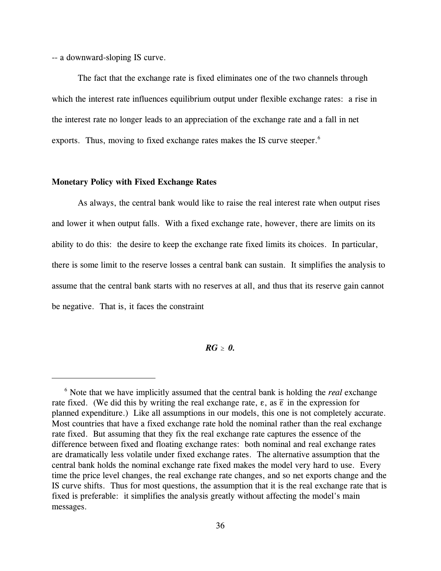-- a downward-sloping IS curve.

The fact that the exchange rate is fixed eliminates one of the two channels through which the interest rate influences equilibrium output under flexible exchange rates: a rise in the interest rate no longer leads to an appreciation of the exchange rate and a fall in net exports. Thus, moving to fixed exchange rates makes the IS curve steeper.<sup>6</sup>

# **Monetary Policy with Fixed Exchange Rates**

As always, the central bank would like to raise the real interest rate when output rises and lower it when output falls. With a fixed exchange rate, however, there are limits on its ability to do this: the desire to keep the exchange rate fixed limits its choices. In particular, there is some limit to the reserve losses a central bank can sustain. It simplifies the analysis to assume that the central bank starts with no reserves at all, and thus that its reserve gain cannot be negative. That is, it faces the constraint

# $RG > 0.$

 $\delta$  Note that we have implicitly assumed that the central bank is holding the *real* exchange rate fixed. (We did this by writing the real exchange rate,  $\varepsilon$ , as  $\overline{\varepsilon}$  in the expression for planned expenditure.) Like all assumptions in our models, this one is not completely accurate. Most countries that have a fixed exchange rate hold the nominal rather than the real exchange rate fixed. But assuming that they fix the real exchange rate captures the essence of the difference between fixed and floating exchange rates: both nominal and real exchange rates are dramatically less volatile under fixed exchange rates. The alternative assumption that the central bank holds the nominal exchange rate fixed makes the model very hard to use. Every time the price level changes, the real exchange rate changes, and so net exports change and the IS curve shifts. Thus for most questions, the assumption that it is the real exchange rate that is fixed is preferable: it simplifies the analysis greatly without affecting the model's main messages.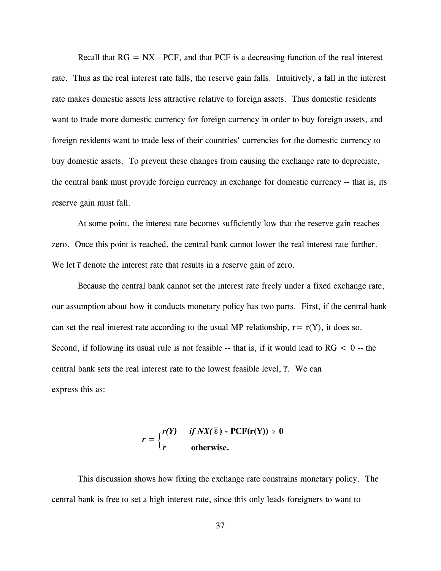Recall that  $RG = NX$  - PCF, and that PCF is a decreasing function of the real interest rate. Thus as the real interest rate falls, the reserve gain falls. Intuitively, a fall in the interest rate makes domestic assets less attractive relative to foreign assets. Thus domestic residents want to trade more domestic currency for foreign currency in order to buy foreign assets, and foreign residents want to trade less of their countries' currencies for the domestic currency to buy domestic assets. To prevent these changes from causing the exchange rate to depreciate, the central bank must provide foreign currency in exchange for domestic currency -- that is, its reserve gain must fall.

At some point, the interest rate becomes sufficiently low that the reserve gain reaches zero. Once this point is reached, the central bank cannot lower the real interest rate further. We let  $\bar{r}$  denote the interest rate that results in a reserve gain of zero. \_ r

Because the central bank cannot set the interest rate freely under a fixed exchange rate, our assumption about how it conducts monetary policy has two parts. First, if the central bank can set the real interest rate according to the usual MP relationship,  $r = r(Y)$ , it does so. Second, if following its usual rule is not feasible  $-$ - that is, if it would lead to  $RG < 0$  -- the central bank sets the real interest rate to the lowest feasible level,  $\bar{r}$ . We can \_ r express this as:

$$
r = \begin{cases} r(Y) & \text{if } NX(\overline{\epsilon}) \text{ - } PCF(r(Y)) \geq 0 \\ \overline{r} & \text{otherwise.} \end{cases}
$$

This discussion shows how fixing the exchange rate constrains monetary policy. The central bank is free to set a high interest rate, since this only leads foreigners to want to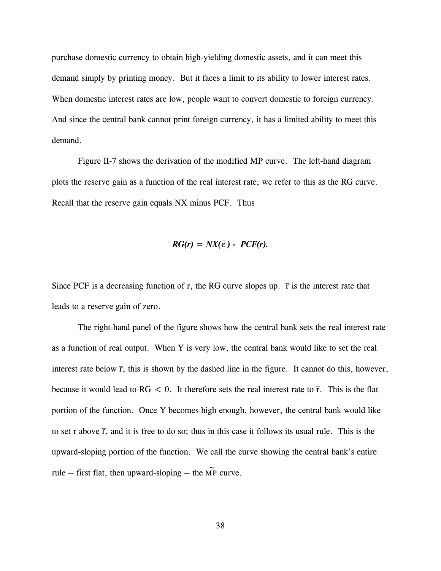purchase domestic currency to obtain high-yielding domestic assets, and it can meet this demand simply by printing money. But it faces a limit to its ability to lower interest rates. When domestic interest rates are low, people want to convert domestic to foreign currency. And since the central bank cannot print foreign currency, it has a limited ability to meet this demand.

Figure II-7 shows the derivation of the modified MP curve. The left-hand diagram plots the reserve gain as a function of the real interest rate; we refer to this as the RG curve. Recall that the reserve gain equals NX minus PCF. Thus

$$
RG(r) = N X(\overline{\varepsilon}) - PCF(r).
$$

Since PCF is a decreasing function of r, the RG curve slopes up.  $\bar{r}$  is the interest rate that \_ r leads to a reserve gain of zero.

The right-hand panel of the figure shows how the central bank sets the real interest rate as a function of real output. When Y is very low, the central bank would like to set the real interest rate below  $\bar{r}$ ; this is shown by the dashed line in the figure. It cannot do this, however, \_ r because it would lead to  $RG < 0$ . It therefore sets the real interest rate to  $\bar{r}$ . This is the flat  $\overline{a}$ r portion of the function. Once Y becomes high enough, however, the central bank would like to set r above  $\bar{r}$ , and it is free to do so; thus in this case it follows its usual rule. This is the  $\overline{a}$ r upward-sloping portion of the function. We call the curve showing the central bank's entire rule -- first flat, then upward-sloping -- the  $\widetilde{MP}$  curve.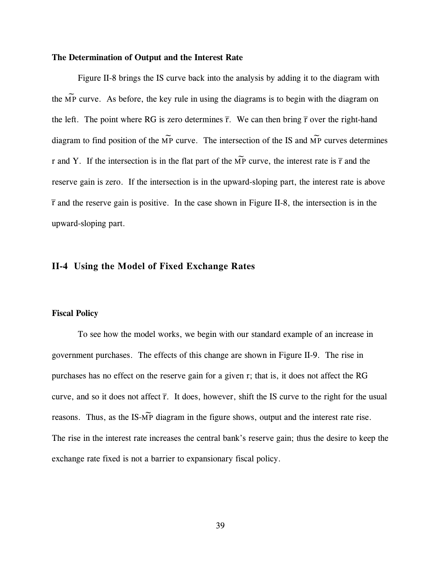### **The Determination of Output and the Interest Rate**

Figure II-8 brings the IS curve back into the analysis by adding it to the diagram with the  $\widetilde{MP}$  curve. As before, the key rule in using the diagrams is to begin with the diagram on the left. The point where RG is zero determines  $\bar{r}$ . We can then bring  $\bar{r}$  over the right-hand \_ r \_ r diagram to find position of the  $\widetilde{MP}$  curve. The intersection of the IS and  $\widetilde{MP}$  curves determines r and Y. If the intersection is in the flat part of the MP curve, the interest rate is  $\bar{r}$  and the \_  $\widetilde{MP}$  curve, the interest rate is  $\overline{r}$ reserve gain is zero. If the intersection is in the upward-sloping part, the interest rate is above and the reserve gain is positive. In the case shown in Figure II-8, the intersection is in the \_ r upward-sloping part.

# **II-4 Using the Model of Fixed Exchange Rates**

# **Fiscal Policy**

To see how the model works, we begin with our standard example of an increase in government purchases. The effects of this change are shown in Figure II-9. The rise in purchases has no effect on the reserve gain for a given r; that is, it does not affect the RG curve, and so it does not affect  $\bar{r}$ . It does, however, shift the IS curve to the right for the usual \_ r reasons. Thus, as the IS- $\widetilde{MP}$  diagram in the figure shows, output and the interest rate rise. The rise in the interest rate increases the central bank's reserve gain; thus the desire to keep the exchange rate fixed is not a barrier to expansionary fiscal policy.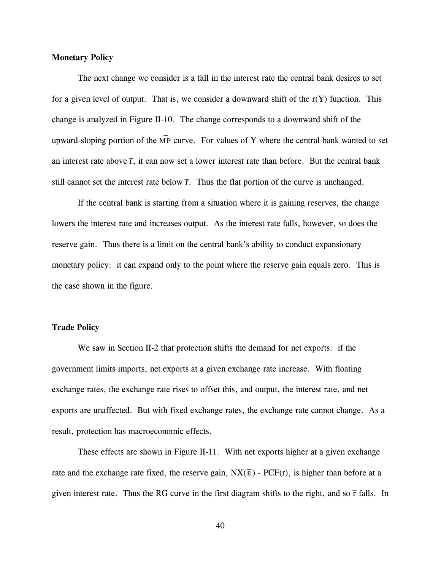### **Monetary Policy**

The next change we consider is a fall in the interest rate the central bank desires to set for a given level of output. That is, we consider a downward shift of the  $r(Y)$  function. This change is analyzed in Figure II-10. The change corresponds to a downward shift of the upward-sloping portion of the  $\widetilde{MP}$  curve. For values of Y where the central bank wanted to set an interest rate above  $\bar{r}$ , it can now set a lower interest rate than before. But the central bank  $\overline{a}$ r still cannot set the interest rate below  $\bar{r}$ . Thus the flat portion of the curve is unchanged. \_ r

If the central bank is starting from a situation where it is gaining reserves, the change lowers the interest rate and increases output. As the interest rate falls, however, so does the reserve gain. Thus there is a limit on the central bank's ability to conduct expansionary monetary policy: it can expand only to the point where the reserve gain equals zero. This is the case shown in the figure.

### **Trade Policy**

We saw in Section II-2 that protection shifts the demand for net exports: if the government limits imports, net exports at a given exchange rate increase. With floating exchange rates, the exchange rate rises to offset this, and output, the interest rate, and net exports are unaffected. But with fixed exchange rates, the exchange rate cannot change. As a result, protection has macroeconomic effects.

These effects are shown in Figure II-11. With net exports higher at a given exchange rate and the exchange rate fixed, the reserve gain,  $NX(\bar{\epsilon})$  - PCF(r), is higher than before at a  $\overline{a}$  $\overline{\epsilon}$ given interest rate. Thus the RG curve in the first diagram shifts to the right, and so  $\bar{r}$  falls. In \_ r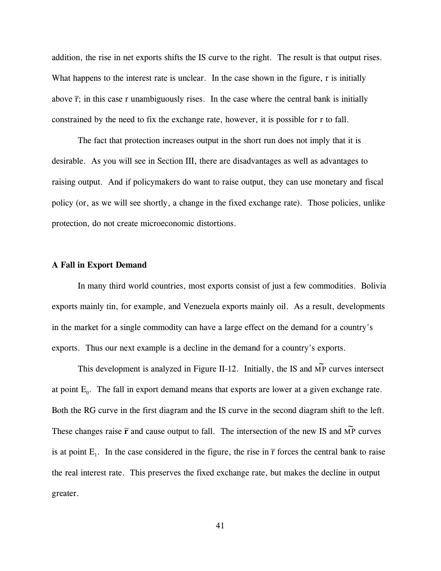addition, the rise in net exports shifts the IS curve to the right. The result is that output rises. What happens to the interest rate is unclear. In the case shown in the figure, r is initially above  $\bar{r}$ ; in this case r unambiguously rises. In the case where the central bank is initially  $\overline{a}$ r constrained by the need to fix the exchange rate, however, it is possible for r to fall.

The fact that protection increases output in the short run does not imply that it is desirable. As you will see in Section III, there are disadvantages as well as advantages to raising output. And if policymakers do want to raise output, they can use monetary and fiscal policy (or, as we will see shortly, a change in the fixed exchange rate). Those policies, unlike protection, do not create microeconomic distortions.

### **A Fall in Export Demand**

In many third world countries, most exports consist of just a few commodities. Bolivia exports mainly tin, for example, and Venezuela exports mainly oil. As a result, developments in the market for a single commodity can have a large effect on the demand for a country's exports. Thus our next example is a decline in the demand for a country's exports.

This development is analyzed in Figure II-12. Initially, the IS and  $\widetilde{MP}$  curves intersect at point  $E_0$ . The fall in export demand means that exports are lower at a given exchange rate. Both the RG curve in the first diagram and the IS curve in the second diagram shift to the left. These changes raise  $\bar{r}$  and cause output to fall. The intersection of the new IS and  $\widetilde{MP}$  curves is at point  $E_1$ . In the case considered in the figure, the rise in  $\bar{r}$  forces the central bank to raise r the real interest rate. This preserves the fixed exchange rate, but makes the decline in output greater.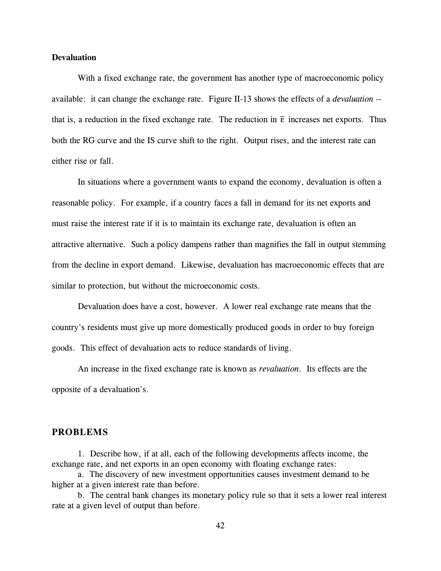### **Devaluation**

With a fixed exchange rate, the government has another type of macroeconomic policy available: it can change the exchange rate. Figure II-13 shows the effects of a *devaluation* - that is, a reduction in the fixed exchange rate. The reduction in  $\bar{\epsilon}$  increases net exports. Thus  $\overline{a}$  $\overline{\epsilon}$ both the RG curve and the IS curve shift to the right. Output rises, and the interest rate can either rise or fall.

In situations where a government wants to expand the economy, devaluation is often a reasonable policy. For example, if a country faces a fall in demand for its net exports and must raise the interest rate if it is to maintain its exchange rate, devaluation is often an attractive alternative. Such a policy dampens rather than magnifies the fall in output stemming from the decline in export demand. Likewise, devaluation has macroeconomic effects that are similar to protection, but without the microeconomic costs.

Devaluation does have a cost, however. A lower real exchange rate means that the country's residents must give up more domestically produced goods in order to buy foreign goods. This effect of devaluation acts to reduce standards of living.

An increase in the fixed exchange rate is known as *revaluation*. Its effects are the opposite of a devaluation's.

# **PROBLEMS**

1. Describe how, if at all, each of the following developments affects income, the exchange rate, and net exports in an open economy with floating exchange rates:

a. The discovery of new investment opportunities causes investment demand to be higher at a given interest rate than before.

b. The central bank changes its monetary policy rule so that it sets a lower real interest rate at a given level of output than before.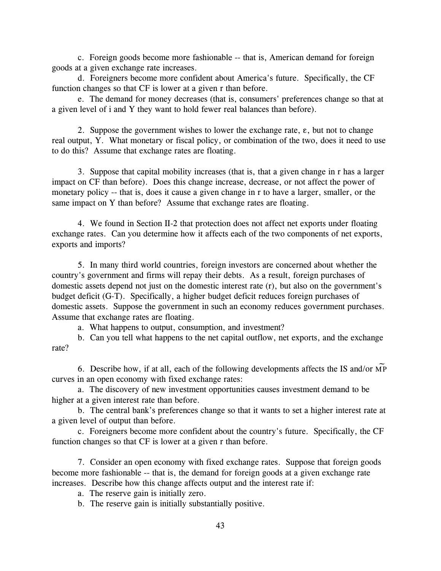c. Foreign goods become more fashionable -- that is, American demand for foreign goods at a given exchange rate increases.

d. Foreigners become more confident about America's future. Specifically, the CF function changes so that CF is lower at a given r than before.

e. The demand for money decreases (that is, consumers' preferences change so that at a given level of i and Y they want to hold fewer real balances than before).

2. Suppose the government wishes to lower the exchange rate,  $\varepsilon$ , but not to change real output, Y. What monetary or fiscal policy, or combination of the two, does it need to use to do this? Assume that exchange rates are floating.

3. Suppose that capital mobility increases (that is, that a given change in r has a larger impact on CF than before). Does this change increase, decrease, or not affect the power of monetary policy -- that is, does it cause a given change in r to have a larger, smaller, or the same impact on Y than before? Assume that exchange rates are floating.

4. We found in Section II-2 that protection does not affect net exports under floating exchange rates. Can you determine how it affects each of the two components of net exports, exports and imports?

5. In many third world countries, foreign investors are concerned about whether the country's government and firms will repay their debts. As a result, foreign purchases of domestic assets depend not just on the domestic interest rate (r), but also on the government's budget deficit (G-T). Specifically, a higher budget deficit reduces foreign purchases of domestic assets. Suppose the government in such an economy reduces government purchases. Assume that exchange rates are floating.

a. What happens to output, consumption, and investment?

b. Can you tell what happens to the net capital outflow, net exports, and the exchange rate?

6. Describe how, if at all, each of the following developments affects the IS and/or  $\widetilde{MP}$ curves in an open economy with fixed exchange rates:

a. The discovery of new investment opportunities causes investment demand to be higher at a given interest rate than before.

b. The central bank's preferences change so that it wants to set a higher interest rate at a given level of output than before.

c. Foreigners become more confident about the country's future. Specifically, the CF function changes so that CF is lower at a given r than before.

7. Consider an open economy with fixed exchange rates. Suppose that foreign goods become more fashionable -- that is, the demand for foreign goods at a given exchange rate increases. Describe how this change affects output and the interest rate if:

a. The reserve gain is initially zero.

b. The reserve gain is initially substantially positive.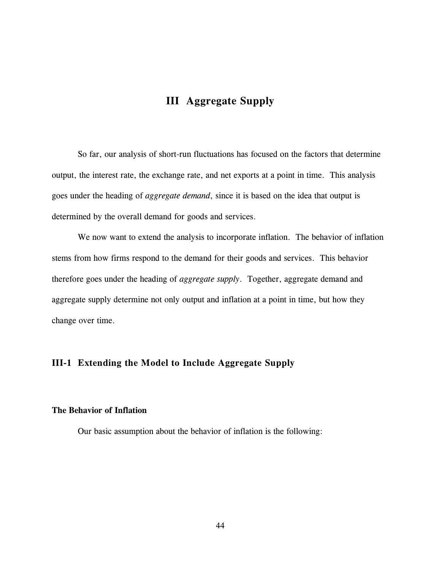# **III Aggregate Supply**

So far, our analysis of short-run fluctuations has focused on the factors that determine output, the interest rate, the exchange rate, and net exports at a point in time. This analysis goes under the heading of *aggregate demand*, since it is based on the idea that output is determined by the overall demand for goods and services.

We now want to extend the analysis to incorporate inflation. The behavior of inflation stems from how firms respond to the demand for their goods and services. This behavior therefore goes under the heading of *aggregate supply*. Together, aggregate demand and aggregate supply determine not only output and inflation at a point in time, but how they change over time.

# **III-1 Extending the Model to Include Aggregate Supply**

# **The Behavior of Inflation**

Our basic assumption about the behavior of inflation is the following: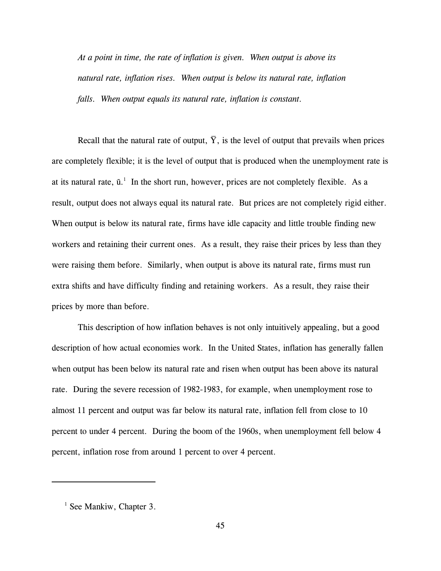*At a point in time, the rate of inflation is given. When output is above its natural rate, inflation rises. When output is below its natural rate, inflation falls. When output equals its natural rate, inflation is constant.*

Recall that the natural rate of output, Y, is the level of output that prevails when prices are completely flexible; it is the level of output that is produced when the unemployment rate is at its natural rate,  $\bar{u}$ . In the short run, however, prices are not completely flexible. As a result, output does not always equal its natural rate. But prices are not completely rigid either. When output is below its natural rate, firms have idle capacity and little trouble finding new workers and retaining their current ones. As a result, they raise their prices by less than they were raising them before. Similarly, when output is above its natural rate, firms must run extra shifts and have difficulty finding and retaining workers. As a result, they raise their prices by more than before.

This description of how inflation behaves is not only intuitively appealing, but a good description of how actual economies work. In the United States, inflation has generally fallen when output has been below its natural rate and risen when output has been above its natural rate. During the severe recession of 1982-1983, for example, when unemployment rose to almost 11 percent and output was far below its natural rate, inflation fell from close to 10 percent to under 4 percent. During the boom of the 1960s, when unemployment fell below 4 percent, inflation rose from around 1 percent to over 4 percent.

 $<sup>1</sup>$  See Mankiw, Chapter 3.</sup>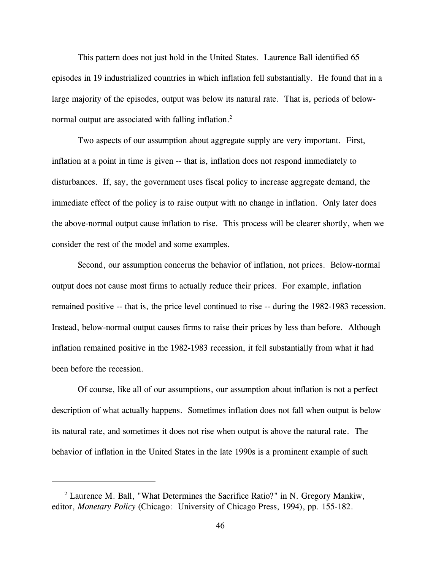This pattern does not just hold in the United States. Laurence Ball identified 65 episodes in 19 industrialized countries in which inflation fell substantially. He found that in a large majority of the episodes, output was below its natural rate. That is, periods of belownormal output are associated with falling inflation.<sup>2</sup>

Two aspects of our assumption about aggregate supply are very important. First, inflation at a point in time is given -- that is, inflation does not respond immediately to disturbances. If, say, the government uses fiscal policy to increase aggregate demand, the immediate effect of the policy is to raise output with no change in inflation. Only later does the above-normal output cause inflation to rise. This process will be clearer shortly, when we consider the rest of the model and some examples.

Second, our assumption concerns the behavior of inflation, not prices. Below-normal output does not cause most firms to actually reduce their prices. For example, inflation remained positive -- that is, the price level continued to rise -- during the 1982-1983 recession. Instead, below-normal output causes firms to raise their prices by less than before. Although inflation remained positive in the 1982-1983 recession, it fell substantially from what it had been before the recession.

Of course, like all of our assumptions, our assumption about inflation is not a perfect description of what actually happens. Sometimes inflation does not fall when output is below its natural rate, and sometimes it does not rise when output is above the natural rate. The behavior of inflation in the United States in the late 1990s is a prominent example of such

 $2$  Laurence M. Ball, "What Determines the Sacrifice Ratio?" in N. Gregory Mankiw, editor, *Monetary Policy* (Chicago: University of Chicago Press, 1994), pp. 155-182.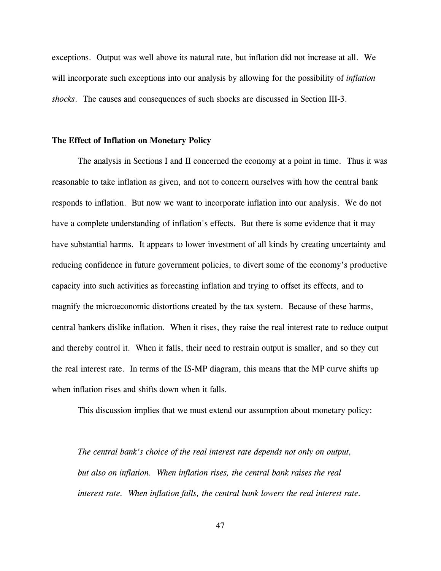exceptions. Output was well above its natural rate, but inflation did not increase at all. We will incorporate such exceptions into our analysis by allowing for the possibility of *inflation shocks*. The causes and consequences of such shocks are discussed in Section III-3.

### **The Effect of Inflation on Monetary Policy**

The analysis in Sections I and II concerned the economy at a point in time. Thus it was reasonable to take inflation as given, and not to concern ourselves with how the central bank responds to inflation. But now we want to incorporate inflation into our analysis. We do not have a complete understanding of inflation's effects. But there is some evidence that it may have substantial harms. It appears to lower investment of all kinds by creating uncertainty and reducing confidence in future government policies, to divert some of the economy's productive capacity into such activities as forecasting inflation and trying to offset its effects, and to magnify the microeconomic distortions created by the tax system. Because of these harms, central bankers dislike inflation. When it rises, they raise the real interest rate to reduce output and thereby control it. When it falls, their need to restrain output is smaller, and so they cut the real interest rate. In terms of the IS-MP diagram, this means that the MP curve shifts up when inflation rises and shifts down when it falls.

This discussion implies that we must extend our assumption about monetary policy:

*The central bank's choice of the real interest rate depends not only on output, but also on inflation. When inflation rises, the central bank raises the real interest rate. When inflation falls, the central bank lowers the real interest rate.*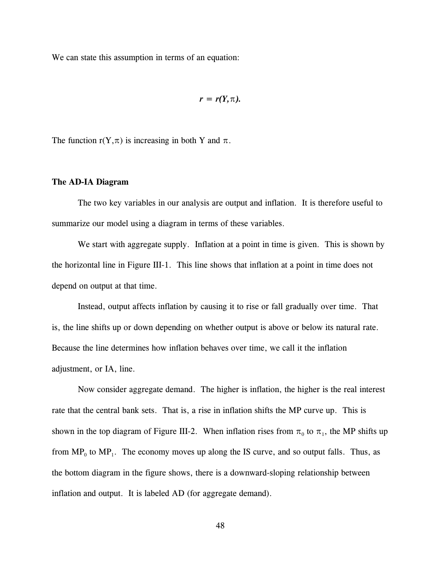We can state this assumption in terms of an equation:

$$
r=r(Y,\pi).
$$

The function  $r(Y,\pi)$  is increasing in both Y and  $\pi$ .

#### **The AD-IA Diagram**

The two key variables in our analysis are output and inflation. It is therefore useful to summarize our model using a diagram in terms of these variables.

We start with aggregate supply. Inflation at a point in time is given. This is shown by the horizontal line in Figure III-1. This line shows that inflation at a point in time does not depend on output at that time.

Instead, output affects inflation by causing it to rise or fall gradually over time. That is, the line shifts up or down depending on whether output is above or below its natural rate. Because the line determines how inflation behaves over time, we call it the inflation adjustment, or IA, line.

Now consider aggregate demand. The higher is inflation, the higher is the real interest rate that the central bank sets. That is, a rise in inflation shifts the MP curve up. This is shown in the top diagram of Figure III-2. When inflation rises from  $\pi_0$  to  $\pi_1$ , the MP shifts up from  $MP_0$  to  $MP_1$ . The economy moves up along the IS curve, and so output falls. Thus, as the bottom diagram in the figure shows, there is a downward-sloping relationship between inflation and output. It is labeled AD (for aggregate demand).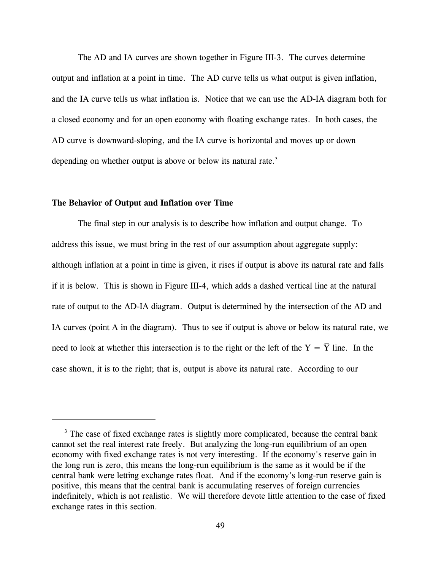The AD and IA curves are shown together in Figure III-3. The curves determine output and inflation at a point in time. The AD curve tells us what output is given inflation, and the IA curve tells us what inflation is. Notice that we can use the AD-IA diagram both for a closed economy and for an open economy with floating exchange rates. In both cases, the AD curve is downward-sloping, and the IA curve is horizontal and moves up or down depending on whether output is above or below its natural rate.<sup>3</sup>

# **The Behavior of Output and Inflation over Time**

The final step in our analysis is to describe how inflation and output change. To address this issue, we must bring in the rest of our assumption about aggregate supply: although inflation at a point in time is given, it rises if output is above its natural rate and falls if it is below. This is shown in Figure III-4, which adds a dashed vertical line at the natural rate of output to the AD-IA diagram. Output is determined by the intersection of the AD and IA curves (point A in the diagram). Thus to see if output is above or below its natural rate, we need to look at whether this intersection is to the right or the left of the  $Y = Y$  line. In the case shown, it is to the right; that is, output is above its natural rate. According to our

<sup>&</sup>lt;sup>3</sup> The case of fixed exchange rates is slightly more complicated, because the central bank cannot set the real interest rate freely. But analyzing the long-run equilibrium of an open economy with fixed exchange rates is not very interesting. If the economy's reserve gain in the long run is zero, this means the long-run equilibrium is the same as it would be if the central bank were letting exchange rates float. And if the economy's long-run reserve gain is positive, this means that the central bank is accumulating reserves of foreign currencies indefinitely, which is not realistic. We will therefore devote little attention to the case of fixed exchange rates in this section.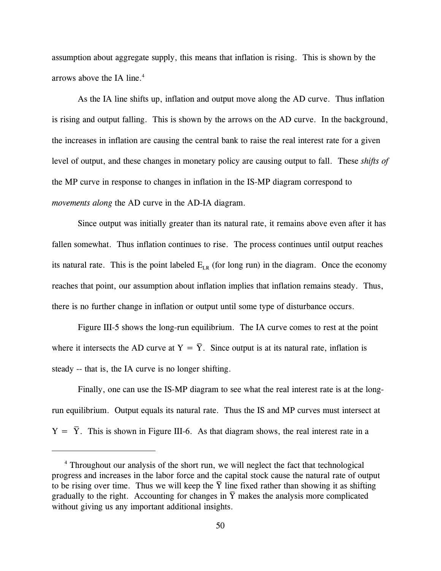assumption about aggregate supply, this means that inflation is rising. This is shown by the arrows above the IA line. $4$ 

As the IA line shifts up, inflation and output move along the AD curve. Thus inflation is rising and output falling. This is shown by the arrows on the AD curve. In the background, the increases in inflation are causing the central bank to raise the real interest rate for a given level of output, and these changes in monetary policy are causing output to fall. These *shifts of* the MP curve in response to changes in inflation in the IS-MP diagram correspond to *movements along* the AD curve in the AD-IA diagram.

Since output was initially greater than its natural rate, it remains above even after it has fallen somewhat. Thus inflation continues to rise. The process continues until output reaches its natural rate. This is the point labeled  $E_{LR}$  (for long run) in the diagram. Once the economy reaches that point, our assumption about inflation implies that inflation remains steady. Thus, there is no further change in inflation or output until some type of disturbance occurs.

Figure III-5 shows the long-run equilibrium. The IA curve comes to rest at the point where it intersects the AD curve at  $Y = \overline{Y}$ . Since output is at its natural rate, inflation is steady -- that is, the IA curve is no longer shifting.

Finally, one can use the IS-MP diagram to see what the real interest rate is at the longrun equilibrium. Output equals its natural rate. Thus the IS and MP curves must intersect at  $Y = Y$ . This is shown in Figure III-6. As that diagram shows, the real interest rate in a \_

<sup>&</sup>lt;sup>4</sup> Throughout our analysis of the short run, we will neglect the fact that technological progress and increases in the labor force and the capital stock cause the natural rate of output \_ to be rising over time. Thus we will keep the  $\overline{Y}$  line fixed rather than showing it as shifting gradually to the right. Accounting for changes in  $\overline{Y}$  makes the analysis more complicated without giving us any important additional insights.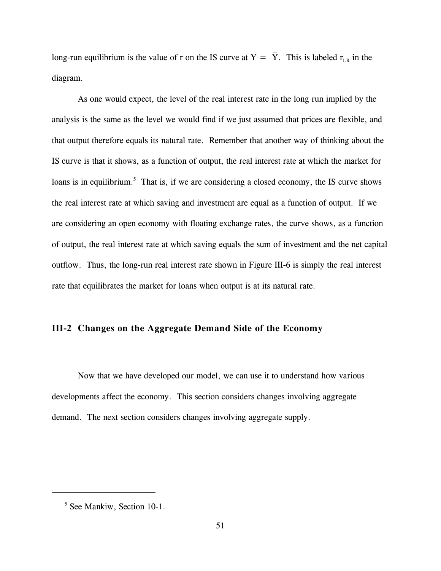long-run equilibrium is the value of r on the IS curve at  $Y = Y$ . This is labeled  $r_{LR}$  in the diagram.

\_

As one would expect, the level of the real interest rate in the long run implied by the analysis is the same as the level we would find if we just assumed that prices are flexible, and that output therefore equals its natural rate. Remember that another way of thinking about the IS curve is that it shows, as a function of output, the real interest rate at which the market for loans is in equilibrium.<sup>5</sup> That is, if we are considering a closed economy, the IS curve shows the real interest rate at which saving and investment are equal as a function of output. If we are considering an open economy with floating exchange rates, the curve shows, as a function of output, the real interest rate at which saving equals the sum of investment and the net capital outflow. Thus, the long-run real interest rate shown in Figure III-6 is simply the real interest rate that equilibrates the market for loans when output is at its natural rate.

# **III-2 Changes on the Aggregate Demand Side of the Economy**

Now that we have developed our model, we can use it to understand how various developments affect the economy. This section considers changes involving aggregate demand. The next section considers changes involving aggregate supply.

<sup>&</sup>lt;sup>5</sup> See Mankiw, Section 10-1.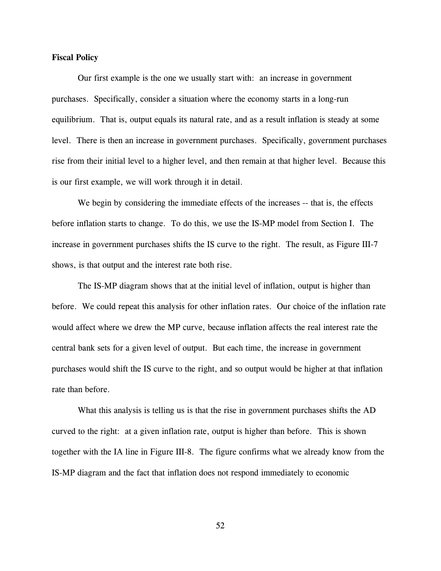### **Fiscal Policy**

Our first example is the one we usually start with: an increase in government purchases. Specifically, consider a situation where the economy starts in a long-run equilibrium. That is, output equals its natural rate, and as a result inflation is steady at some level. There is then an increase in government purchases. Specifically, government purchases rise from their initial level to a higher level, and then remain at that higher level. Because this is our first example, we will work through it in detail.

We begin by considering the immediate effects of the increases -- that is, the effects before inflation starts to change. To do this, we use the IS-MP model from Section I. The increase in government purchases shifts the IS curve to the right. The result, as Figure III-7 shows, is that output and the interest rate both rise.

The IS-MP diagram shows that at the initial level of inflation, output is higher than before. We could repeat this analysis for other inflation rates. Our choice of the inflation rate would affect where we drew the MP curve, because inflation affects the real interest rate the central bank sets for a given level of output. But each time, the increase in government purchases would shift the IS curve to the right, and so output would be higher at that inflation rate than before.

What this analysis is telling us is that the rise in government purchases shifts the AD curved to the right: at a given inflation rate, output is higher than before. This is shown together with the IA line in Figure III-8. The figure confirms what we already know from the IS-MP diagram and the fact that inflation does not respond immediately to economic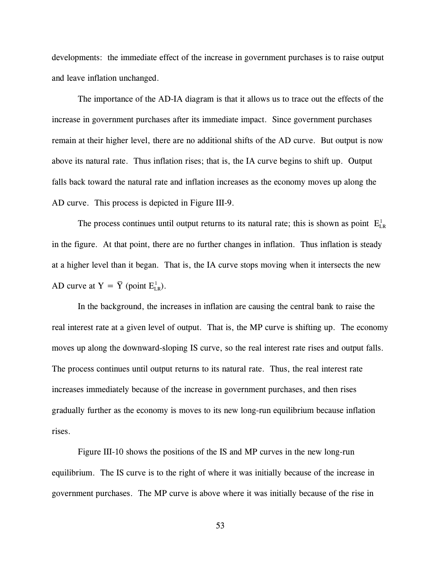developments: the immediate effect of the increase in government purchases is to raise output and leave inflation unchanged.

The importance of the AD-IA diagram is that it allows us to trace out the effects of the increase in government purchases after its immediate impact. Since government purchases remain at their higher level, there are no additional shifts of the AD curve. But output is now above its natural rate. Thus inflation rises; that is, the IA curve begins to shift up. Output falls back toward the natural rate and inflation increases as the economy moves up along the AD curve. This process is depicted in Figure III-9.

The process continues until output returns to its natural rate; this is shown as point  $E_{LR}^1$ in the figure. At that point, there are no further changes in inflation. Thus inflation is steady at a higher level than it began. That is, the IA curve stops moving when it intersects the new AD curve at  $Y = \overline{Y}$  (point  $E_{LR}^1$ ). \_

In the background, the increases in inflation are causing the central bank to raise the real interest rate at a given level of output. That is, the MP curve is shifting up. The economy moves up along the downward-sloping IS curve, so the real interest rate rises and output falls. The process continues until output returns to its natural rate. Thus, the real interest rate increases immediately because of the increase in government purchases, and then rises gradually further as the economy is moves to its new long-run equilibrium because inflation rises.

Figure III-10 shows the positions of the IS and MP curves in the new long-run equilibrium. The IS curve is to the right of where it was initially because of the increase in government purchases. The MP curve is above where it was initially because of the rise in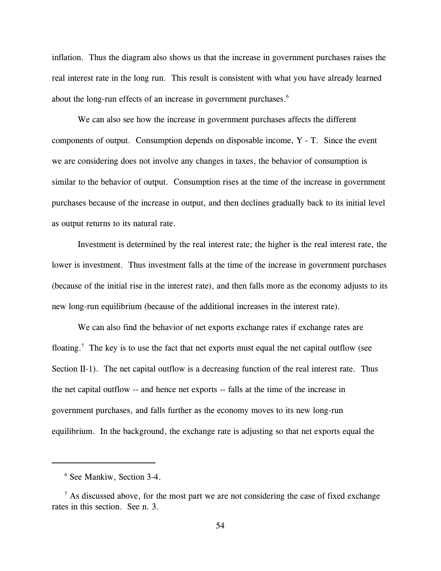inflation. Thus the diagram also shows us that the increase in government purchases raises the real interest rate in the long run. This result is consistent with what you have already learned about the long-run effects of an increase in government purchases.<sup>6</sup>

We can also see how the increase in government purchases affects the different components of output. Consumption depends on disposable income, Y - T. Since the event we are considering does not involve any changes in taxes, the behavior of consumption is similar to the behavior of output. Consumption rises at the time of the increase in government purchases because of the increase in output, and then declines gradually back to its initial level as output returns to its natural rate.

Investment is determined by the real interest rate; the higher is the real interest rate, the lower is investment. Thus investment falls at the time of the increase in government purchases (because of the initial rise in the interest rate), and then falls more as the economy adjusts to its new long-run equilibrium (because of the additional increases in the interest rate).

We can also find the behavior of net exports exchange rates if exchange rates are floating.<sup>7</sup> The key is to use the fact that net exports must equal the net capital outflow (see Section II-1). The net capital outflow is a decreasing function of the real interest rate. Thus the net capital outflow -- and hence net exports -- falls at the time of the increase in government purchases, and falls further as the economy moves to its new long-run equilibrium. In the background, the exchange rate is adjusting so that net exports equal the

<sup>&</sup>lt;sup>6</sup> See Mankiw, Section 3-4.

 $^7$  As discussed above, for the most part we are not considering the case of fixed exchange rates in this section. See n. 3.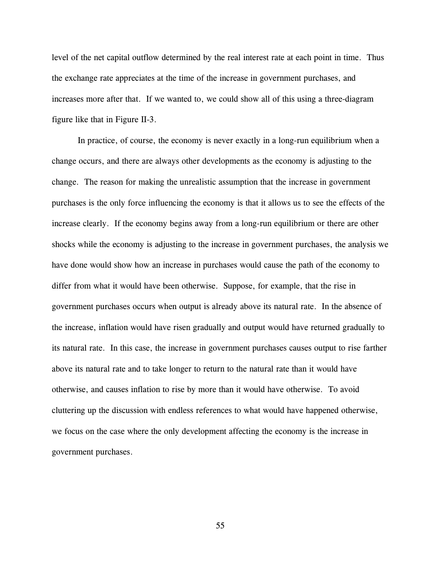level of the net capital outflow determined by the real interest rate at each point in time. Thus the exchange rate appreciates at the time of the increase in government purchases, and increases more after that. If we wanted to, we could show all of this using a three-diagram figure like that in Figure II-3.

In practice, of course, the economy is never exactly in a long-run equilibrium when a change occurs, and there are always other developments as the economy is adjusting to the change. The reason for making the unrealistic assumption that the increase in government purchases is the only force influencing the economy is that it allows us to see the effects of the increase clearly. If the economy begins away from a long-run equilibrium or there are other shocks while the economy is adjusting to the increase in government purchases, the analysis we have done would show how an increase in purchases would cause the path of the economy to differ from what it would have been otherwise. Suppose, for example, that the rise in government purchases occurs when output is already above its natural rate. In the absence of the increase, inflation would have risen gradually and output would have returned gradually to its natural rate. In this case, the increase in government purchases causes output to rise farther above its natural rate and to take longer to return to the natural rate than it would have otherwise, and causes inflation to rise by more than it would have otherwise. To avoid cluttering up the discussion with endless references to what would have happened otherwise, we focus on the case where the only development affecting the economy is the increase in government purchases.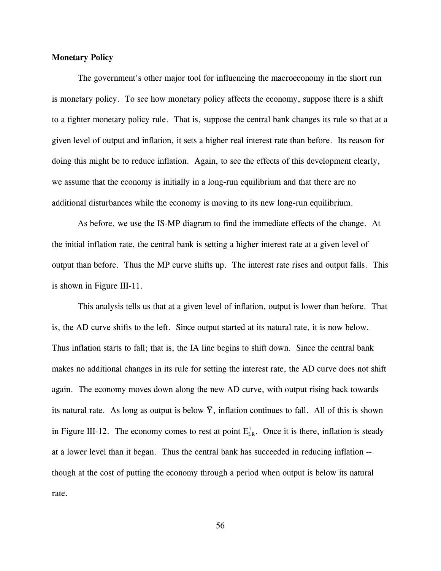### **Monetary Policy**

The government's other major tool for influencing the macroeconomy in the short run is monetary policy. To see how monetary policy affects the economy, suppose there is a shift to a tighter monetary policy rule. That is, suppose the central bank changes its rule so that at a given level of output and inflation, it sets a higher real interest rate than before. Its reason for doing this might be to reduce inflation. Again, to see the effects of this development clearly, we assume that the economy is initially in a long-run equilibrium and that there are no additional disturbances while the economy is moving to its new long-run equilibrium.

As before, we use the IS-MP diagram to find the immediate effects of the change. At the initial inflation rate, the central bank is setting a higher interest rate at a given level of output than before. Thus the MP curve shifts up. The interest rate rises and output falls. This is shown in Figure III-11.

This analysis tells us that at a given level of inflation, output is lower than before. That is, the AD curve shifts to the left. Since output started at its natural rate, it is now below. Thus inflation starts to fall; that is, the IA line begins to shift down. Since the central bank makes no additional changes in its rule for setting the interest rate, the AD curve does not shift again. The economy moves down along the new AD curve, with output rising back towards its natural rate. As long as output is below  $\bar{Y}$ , inflation continues to fall. All of this is shown \_ in Figure III-12. The economy comes to rest at point  $E_{LR}^1$ . Once it is there, inflation is steady at a lower level than it began. Thus the central bank has succeeded in reducing inflation - though at the cost of putting the economy through a period when output is below its natural rate.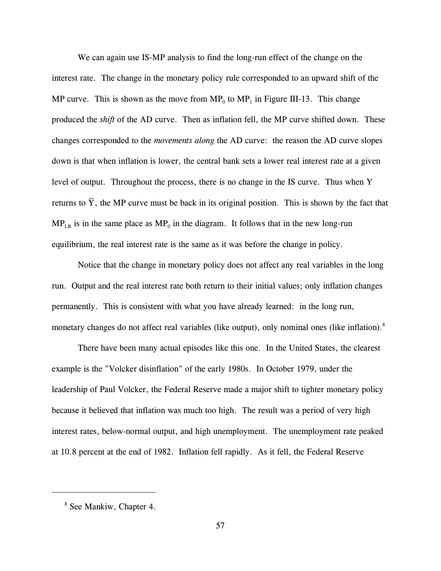We can again use IS-MP analysis to find the long-run effect of the change on the interest rate. The change in the monetary policy rule corresponded to an upward shift of the MP curve. This is shown as the move from  $MP_0$  to  $MP_1$  in Figure III-13. This change produced the *shift* of the AD curve. Then as inflation fell, the MP curve shifted down. These changes corresponded to the *movements along* the AD curve: the reason the AD curve slopes down is that when inflation is lower, the central bank sets a lower real interest rate at a given level of output. Throughout the process, there is no change in the IS curve. Thus when Y returns to  $\overline{Y}$ , the MP curve must be back in its original position. This is shown by the fact that  $\overline{a}$  $MP_{LR}$  is in the same place as  $MP_0$  in the diagram. It follows that in the new long-run equilibrium, the real interest rate is the same as it was before the change in policy.

Notice that the change in monetary policy does not affect any real variables in the long run. Output and the real interest rate both return to their initial values; only inflation changes permanently. This is consistent with what you have already learned: in the long run, monetary changes do not affect real variables (like output), only nominal ones (like inflation).<sup>8</sup>

There have been many actual episodes like this one. In the United States, the clearest example is the "Volcker disinflation" of the early 1980s. In October 1979, under the leadership of Paul Volcker, the Federal Reserve made a major shift to tighter monetary policy because it believed that inflation was much too high. The result was a period of very high interest rates, below-normal output, and high unemployment. The unemployment rate peaked at 10.8 percent at the end of 1982. Inflation fell rapidly. As it fell, the Federal Reserve

<sup>&</sup>lt;sup>8</sup> See Mankiw, Chapter 4.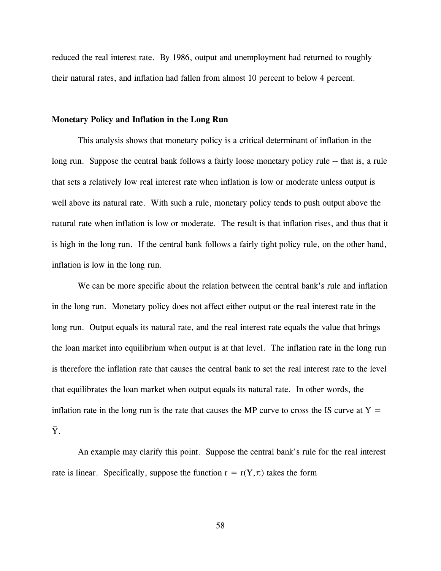reduced the real interest rate. By 1986, output and unemployment had returned to roughly their natural rates, and inflation had fallen from almost 10 percent to below 4 percent.

### **Monetary Policy and Inflation in the Long Run**

This analysis shows that monetary policy is a critical determinant of inflation in the long run. Suppose the central bank follows a fairly loose monetary policy rule -- that is, a rule that sets a relatively low real interest rate when inflation is low or moderate unless output is well above its natural rate. With such a rule, monetary policy tends to push output above the natural rate when inflation is low or moderate. The result is that inflation rises, and thus that it is high in the long run. If the central bank follows a fairly tight policy rule, on the other hand, inflation is low in the long run.

We can be more specific about the relation between the central bank's rule and inflation in the long run. Monetary policy does not affect either output or the real interest rate in the long run. Output equals its natural rate, and the real interest rate equals the value that brings the loan market into equilibrium when output is at that level. The inflation rate in the long run is therefore the inflation rate that causes the central bank to set the real interest rate to the level that equilibrates the loan market when output equals its natural rate. In other words, the inflation rate in the long run is the rate that causes the MP curve to cross the IS curve at  $Y =$ Y. \_

An example may clarify this point. Suppose the central bank's rule for the real interest rate is linear. Specifically, suppose the function  $r = r(Y, \pi)$  takes the form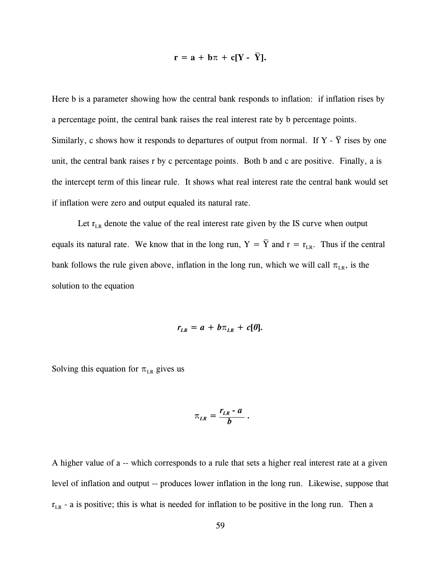$$
\mathbf{r} = \mathbf{a} + \mathbf{b}\pi + \mathbf{c}[\mathbf{Y} - \overline{\mathbf{Y}}].
$$

Here b is a parameter showing how the central bank responds to inflation: if inflation rises by a percentage point, the central bank raises the real interest rate by b percentage points. Similarly, c shows how it responds to departures of output from normal. If Y - Y rises by one unit, the central bank raises r by c percentage points. Both b and c are positive. Finally, a is the intercept term of this linear rule. It shows what real interest rate the central bank would set if inflation were zero and output equaled its natural rate.

Let  $r_{LR}$  denote the value of the real interest rate given by the IS curve when output equals its natural rate. We know that in the long run,  $Y = Y$  and  $r = r_{LR}$ . Thus if the central bank follows the rule given above, inflation in the long run, which we will call  $\pi_{LR}$ , is the solution to the equation

$$
r_{LR} = a + b \pi_{LR} + c[0].
$$

Solving this equation for  $\pi_{LR}$  gives us

$$
\pi_{LR}=\frac{r_{LR}-a}{b}.
$$

A higher value of a -- which corresponds to a rule that sets a higher real interest rate at a given level of inflation and output -- produces lower inflation in the long run. Likewise, suppose that  $r_{LR}$  - a is positive; this is what is needed for inflation to be positive in the long run. Then a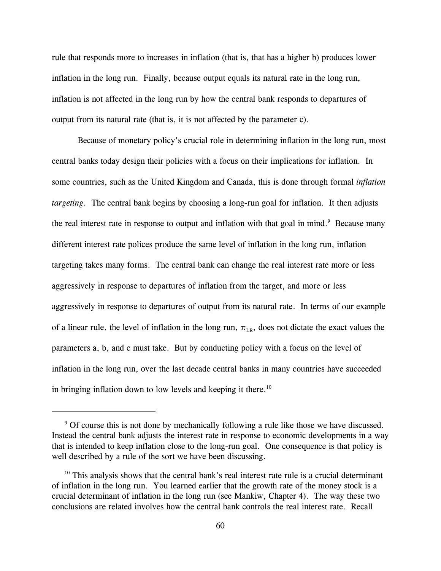rule that responds more to increases in inflation (that is, that has a higher b) produces lower inflation in the long run. Finally, because output equals its natural rate in the long run, inflation is not affected in the long run by how the central bank responds to departures of output from its natural rate (that is, it is not affected by the parameter c).

Because of monetary policy's crucial role in determining inflation in the long run, most central banks today design their policies with a focus on their implications for inflation. In some countries, such as the United Kingdom and Canada, this is done through formal *inflation targeting*. The central bank begins by choosing a long-run goal for inflation. It then adjusts the real interest rate in response to output and inflation with that goal in mind. $9$  Because many different interest rate polices produce the same level of inflation in the long run, inflation targeting takes many forms. The central bank can change the real interest rate more or less aggressively in response to departures of inflation from the target, and more or less aggressively in response to departures of output from its natural rate. In terms of our example of a linear rule, the level of inflation in the long run,  $\pi_{LR}$ , does not dictate the exact values the parameters a, b, and c must take. But by conducting policy with a focus on the level of inflation in the long run, over the last decade central banks in many countries have succeeded in bringing inflation down to low levels and keeping it there.<sup>10</sup>

<sup>&</sup>lt;sup>9</sup> Of course this is not done by mechanically following a rule like those we have discussed. Instead the central bank adjusts the interest rate in response to economic developments in a way that is intended to keep inflation close to the long-run goal. One consequence is that policy is well described by a rule of the sort we have been discussing.

 $10$  This analysis shows that the central bank's real interest rate rule is a crucial determinant of inflation in the long run. You learned earlier that the growth rate of the money stock is a crucial determinant of inflation in the long run (see Mankiw, Chapter 4). The way these two conclusions are related involves how the central bank controls the real interest rate. Recall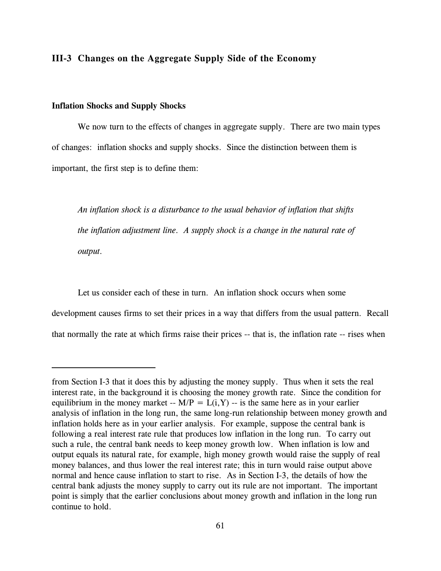## **III-3 Changes on the Aggregate Supply Side of the Economy**

### **Inflation Shocks and Supply Shocks**

We now turn to the effects of changes in aggregate supply. There are two main types of changes: inflation shocks and supply shocks. Since the distinction between them is important, the first step is to define them:

*An inflation shock is a disturbance to the usual behavior of inflation that shifts the inflation adjustment line. A supply shock is a change in the natural rate of output.*

Let us consider each of these in turn. An inflation shock occurs when some development causes firms to set their prices in a way that differs from the usual pattern. Recall that normally the rate at which firms raise their prices -- that is, the inflation rate -- rises when

from Section I-3 that it does this by adjusting the money supply. Thus when it sets the real interest rate, in the background it is choosing the money growth rate. Since the condition for equilibrium in the money market --  $M/P = L(i, Y)$  -- is the same here as in your earlier analysis of inflation in the long run, the same long-run relationship between money growth and inflation holds here as in your earlier analysis. For example, suppose the central bank is following a real interest rate rule that produces low inflation in the long run. To carry out such a rule, the central bank needs to keep money growth low. When inflation is low and output equals its natural rate, for example, high money growth would raise the supply of real money balances, and thus lower the real interest rate; this in turn would raise output above normal and hence cause inflation to start to rise. As in Section I-3, the details of how the central bank adjusts the money supply to carry out its rule are not important. The important point is simply that the earlier conclusions about money growth and inflation in the long run continue to hold.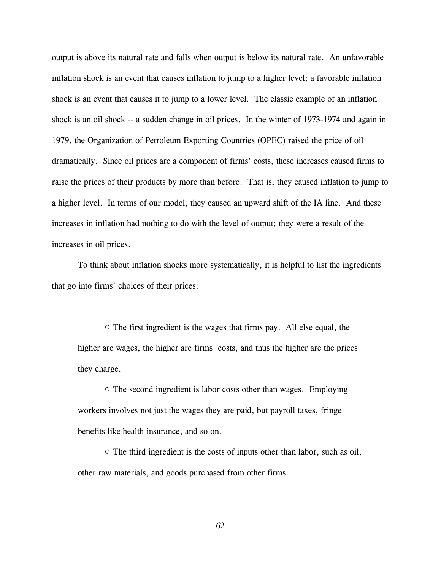output is above its natural rate and falls when output is below its natural rate. An unfavorable inflation shock is an event that causes inflation to jump to a higher level; a favorable inflation shock is an event that causes it to jump to a lower level. The classic example of an inflation shock is an oil shock -- a sudden change in oil prices. In the winter of 1973-1974 and again in 1979, the Organization of Petroleum Exporting Countries (OPEC) raised the price of oil dramatically. Since oil prices are a component of firms' costs, these increases caused firms to raise the prices of their products by more than before. That is, they caused inflation to jump to a higher level. In terms of our model, they caused an upward shift of the IA line. And these increases in inflation had nothing to do with the level of output; they were a result of the increases in oil prices.

To think about inflation shocks more systematically, it is helpful to list the ingredients that go into firms' choices of their prices:

 $\circ$  The first ingredient is the wages that firms pay. All else equal, the higher are wages, the higher are firms' costs, and thus the higher are the prices they charge.

 $\circ$  The second ingredient is labor costs other than wages. Employing workers involves not just the wages they are paid, but payroll taxes, fringe benefits like health insurance, and so on.

 $\circ$  The third ingredient is the costs of inputs other than labor, such as oil, other raw materials, and goods purchased from other firms.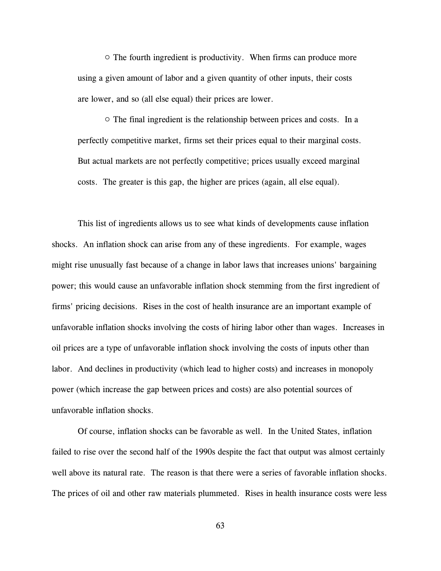$\circ$  The fourth ingredient is productivity. When firms can produce more using a given amount of labor and a given quantity of other inputs, their costs are lower, and so (all else equal) their prices are lower.

 $\circ$  The final ingredient is the relationship between prices and costs. In a perfectly competitive market, firms set their prices equal to their marginal costs. But actual markets are not perfectly competitive; prices usually exceed marginal costs. The greater is this gap, the higher are prices (again, all else equal).

This list of ingredients allows us to see what kinds of developments cause inflation shocks. An inflation shock can arise from any of these ingredients. For example, wages might rise unusually fast because of a change in labor laws that increases unions' bargaining power; this would cause an unfavorable inflation shock stemming from the first ingredient of firms' pricing decisions. Rises in the cost of health insurance are an important example of unfavorable inflation shocks involving the costs of hiring labor other than wages. Increases in oil prices are a type of unfavorable inflation shock involving the costs of inputs other than labor. And declines in productivity (which lead to higher costs) and increases in monopoly power (which increase the gap between prices and costs) are also potential sources of unfavorable inflation shocks.

Of course, inflation shocks can be favorable as well. In the United States, inflation failed to rise over the second half of the 1990s despite the fact that output was almost certainly well above its natural rate. The reason is that there were a series of favorable inflation shocks. The prices of oil and other raw materials plummeted. Rises in health insurance costs were less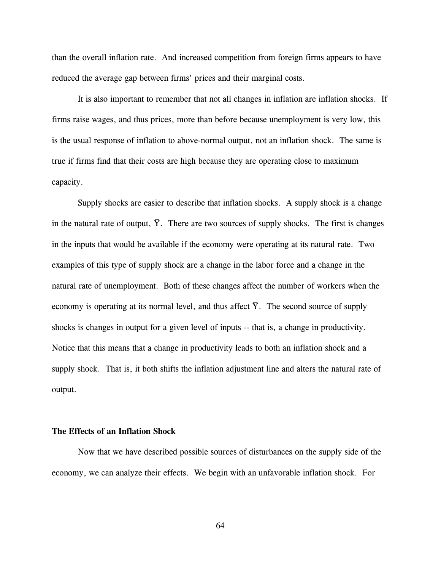than the overall inflation rate. And increased competition from foreign firms appears to have reduced the average gap between firms' prices and their marginal costs.

It is also important to remember that not all changes in inflation are inflation shocks. If firms raise wages, and thus prices, more than before because unemployment is very low, this is the usual response of inflation to above-normal output, not an inflation shock. The same is true if firms find that their costs are high because they are operating close to maximum capacity.

Supply shocks are easier to describe that inflation shocks. A supply shock is a change in the natural rate of output, Y. There are two sources of supply shocks. The first is changes \_ in the inputs that would be available if the economy were operating at its natural rate. Two examples of this type of supply shock are a change in the labor force and a change in the natural rate of unemployment. Both of these changes affect the number of workers when the economy is operating at its normal level, and thus affect  $\overline{Y}$ . The second source of supply \_ shocks is changes in output for a given level of inputs -- that is, a change in productivity. Notice that this means that a change in productivity leads to both an inflation shock and a supply shock. That is, it both shifts the inflation adjustment line and alters the natural rate of output.

## **The Effects of an Inflation Shock**

Now that we have described possible sources of disturbances on the supply side of the economy, we can analyze their effects. We begin with an unfavorable inflation shock. For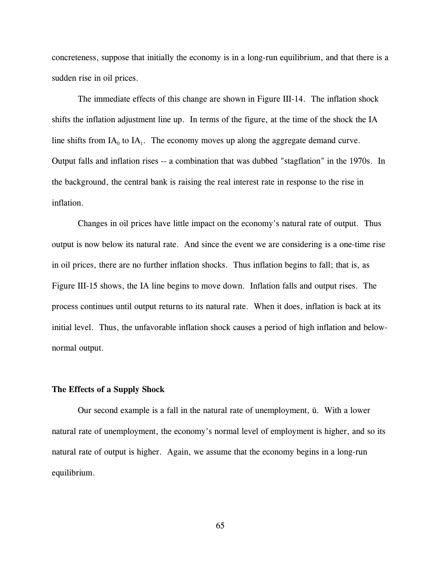concreteness, suppose that initially the economy is in a long-run equilibrium, and that there is a sudden rise in oil prices.

The immediate effects of this change are shown in Figure III-14. The inflation shock shifts the inflation adjustment line up. In terms of the figure, at the time of the shock the IA line shifts from  $IA_0$  to  $IA_1$ . The economy moves up along the aggregate demand curve. Output falls and inflation rises -- a combination that was dubbed "stagflation" in the 1970s. In the background, the central bank is raising the real interest rate in response to the rise in inflation.

Changes in oil prices have little impact on the economy's natural rate of output. Thus output is now below its natural rate. And since the event we are considering is a one-time rise in oil prices, there are no further inflation shocks. Thus inflation begins to fall; that is, as Figure III-15 shows, the IA line begins to move down. Inflation falls and output rises. The process continues until output returns to its natural rate. When it does, inflation is back at its initial level. Thus, the unfavorable inflation shock causes a period of high inflation and belownormal output.

# **The Effects of a Supply Shock**

Our second example is a fall in the natural rate of unemployment,  $\bar{u}$ . With a lower natural rate of unemployment, the economy's normal level of employment is higher, and so its natural rate of output is higher. Again, we assume that the economy begins in a long-run equilibrium.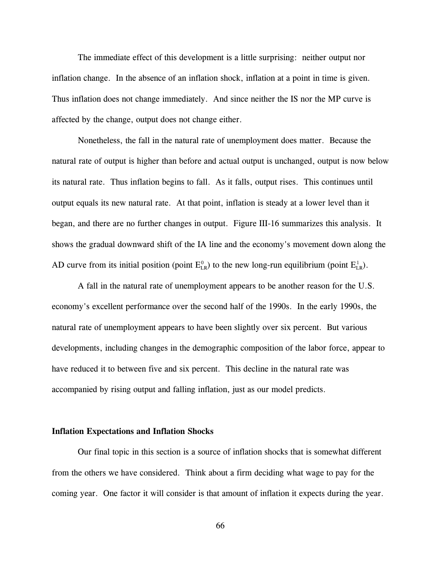The immediate effect of this development is a little surprising: neither output nor inflation change. In the absence of an inflation shock, inflation at a point in time is given. Thus inflation does not change immediately. And since neither the IS nor the MP curve is affected by the change, output does not change either.

Nonetheless, the fall in the natural rate of unemployment does matter. Because the natural rate of output is higher than before and actual output is unchanged, output is now below its natural rate. Thus inflation begins to fall. As it falls, output rises. This continues until output equals its new natural rate. At that point, inflation is steady at a lower level than it began, and there are no further changes in output. Figure III-16 summarizes this analysis. It shows the gradual downward shift of the IA line and the economy's movement down along the AD curve from its initial position (point  $E_{LR}^0$ ) to the new long-run equilibrium (point  $E_{LR}^1$ ).

A fall in the natural rate of unemployment appears to be another reason for the U.S. economy's excellent performance over the second half of the 1990s. In the early 1990s, the natural rate of unemployment appears to have been slightly over six percent. But various developments, including changes in the demographic composition of the labor force, appear to have reduced it to between five and six percent. This decline in the natural rate was accompanied by rising output and falling inflation, just as our model predicts.

#### **Inflation Expectations and Inflation Shocks**

Our final topic in this section is a source of inflation shocks that is somewhat different from the others we have considered. Think about a firm deciding what wage to pay for the coming year. One factor it will consider is that amount of inflation it expects during the year.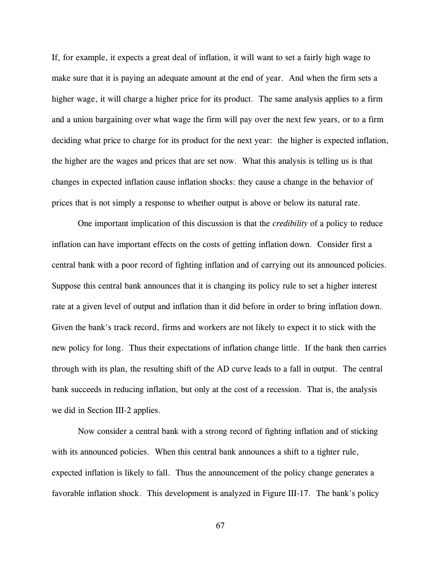If, for example, it expects a great deal of inflation, it will want to set a fairly high wage to make sure that it is paying an adequate amount at the end of year. And when the firm sets a higher wage, it will charge a higher price for its product. The same analysis applies to a firm and a union bargaining over what wage the firm will pay over the next few years, or to a firm deciding what price to charge for its product for the next year: the higher is expected inflation, the higher are the wages and prices that are set now. What this analysis is telling us is that changes in expected inflation cause inflation shocks: they cause a change in the behavior of prices that is not simply a response to whether output is above or below its natural rate.

One important implication of this discussion is that the *credibility* of a policy to reduce inflation can have important effects on the costs of getting inflation down. Consider first a central bank with a poor record of fighting inflation and of carrying out its announced policies. Suppose this central bank announces that it is changing its policy rule to set a higher interest rate at a given level of output and inflation than it did before in order to bring inflation down. Given the bank's track record, firms and workers are not likely to expect it to stick with the new policy for long. Thus their expectations of inflation change little. If the bank then carries through with its plan, the resulting shift of the AD curve leads to a fall in output. The central bank succeeds in reducing inflation, but only at the cost of a recession. That is, the analysis we did in Section III-2 applies.

Now consider a central bank with a strong record of fighting inflation and of sticking with its announced policies. When this central bank announces a shift to a tighter rule, expected inflation is likely to fall. Thus the announcement of the policy change generates a favorable inflation shock. This development is analyzed in Figure III-17. The bank's policy

67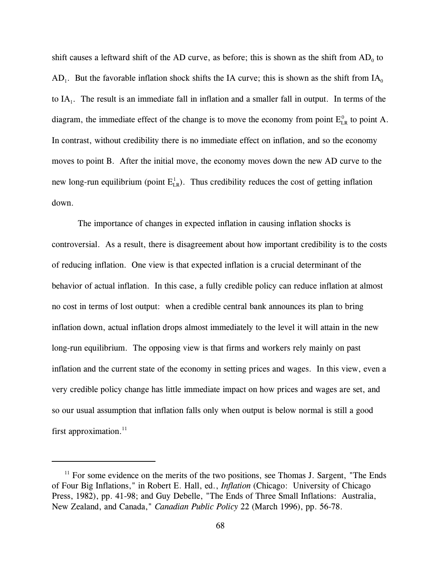shift causes a leftward shift of the AD curve, as before; this is shown as the shift from  $AD_0$  to  $AD_1$ . But the favorable inflation shock shifts the IA curve; this is shown as the shift from IA<sub>0</sub> to  $IA<sub>1</sub>$ . The result is an immediate fall in inflation and a smaller fall in output. In terms of the diagram, the immediate effect of the change is to move the economy from point  $E_{LR}^0$  to point A. In contrast, without credibility there is no immediate effect on inflation, and so the economy moves to point B. After the initial move, the economy moves down the new AD curve to the new long-run equilibrium (point  $E_{LR}^1$ ). Thus credibility reduces the cost of getting inflation down.

The importance of changes in expected inflation in causing inflation shocks is controversial. As a result, there is disagreement about how important credibility is to the costs of reducing inflation. One view is that expected inflation is a crucial determinant of the behavior of actual inflation. In this case, a fully credible policy can reduce inflation at almost no cost in terms of lost output: when a credible central bank announces its plan to bring inflation down, actual inflation drops almost immediately to the level it will attain in the new long-run equilibrium. The opposing view is that firms and workers rely mainly on past inflation and the current state of the economy in setting prices and wages. In this view, even a very credible policy change has little immediate impact on how prices and wages are set, and so our usual assumption that inflation falls only when output is below normal is still a good first approximation.<sup>11</sup>

 $<sup>11</sup>$  For some evidence on the merits of the two positions, see Thomas J. Sargent, "The Ends</sup> of Four Big Inflations," in Robert E. Hall, ed., *Inflation* (Chicago: University of Chicago Press, 1982), pp. 41-98; and Guy Debelle, "The Ends of Three Small Inflations: Australia, New Zealand, and Canada," *Canadian Public Policy* 22 (March 1996), pp. 56-78.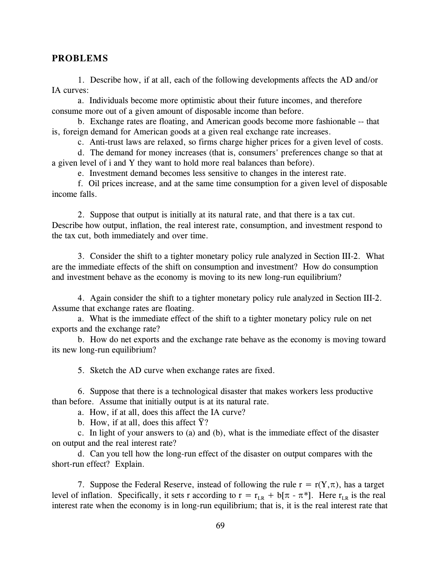## **PROBLEMS**

1. Describe how, if at all, each of the following developments affects the AD and/or IA curves:

a. Individuals become more optimistic about their future incomes, and therefore consume more out of a given amount of disposable income than before.

b. Exchange rates are floating, and American goods become more fashionable -- that is, foreign demand for American goods at a given real exchange rate increases.

c. Anti-trust laws are relaxed, so firms charge higher prices for a given level of costs.

d. The demand for money increases (that is, consumers' preferences change so that at a given level of i and Y they want to hold more real balances than before).

e. Investment demand becomes less sensitive to changes in the interest rate.

f. Oil prices increase, and at the same time consumption for a given level of disposable income falls.

2. Suppose that output is initially at its natural rate, and that there is a tax cut. Describe how output, inflation, the real interest rate, consumption, and investment respond to the tax cut, both immediately and over time.

3. Consider the shift to a tighter monetary policy rule analyzed in Section III-2. What are the immediate effects of the shift on consumption and investment? How do consumption and investment behave as the economy is moving to its new long-run equilibrium?

4. Again consider the shift to a tighter monetary policy rule analyzed in Section III-2. Assume that exchange rates are floating.

a. What is the immediate effect of the shift to a tighter monetary policy rule on net exports and the exchange rate?

b. How do net exports and the exchange rate behave as the economy is moving toward its new long-run equilibrium?

5. Sketch the AD curve when exchange rates are fixed.

6. Suppose that there is a technological disaster that makes workers less productive than before. Assume that initially output is at its natural rate.

a. How, if at all, does this affect the IA curve? \_

b. How, if at all, does this affect  $\overline{Y}$ ?

c. In light of your answers to (a) and (b), what is the immediate effect of the disaster on output and the real interest rate?

d. Can you tell how the long-run effect of the disaster on output compares with the short-run effect? Explain.

7. Suppose the Federal Reserve, instead of following the rule  $r = r(Y,\pi)$ , has a target level of inflation. Specifically, it sets r according to  $r = r_{IR} + b[\pi - \pi^*]$ . Here  $r_{IR}$  is the real interest rate when the economy is in long-run equilibrium; that is, it is the real interest rate that